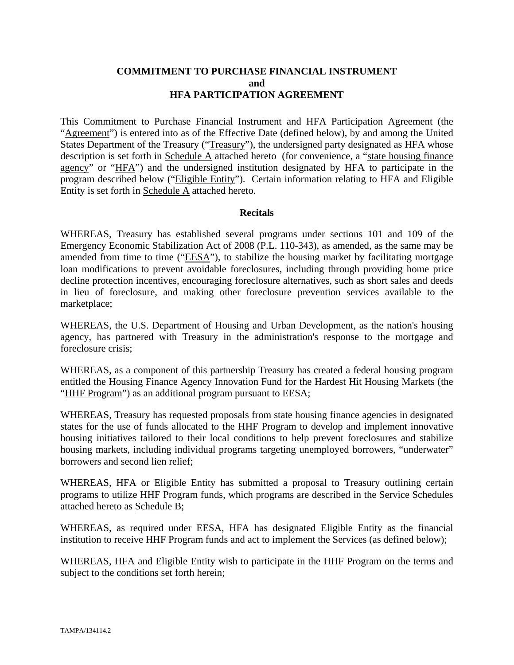### **COMMITMENT TO PURCHASE FINANCIAL INSTRUMENT and HFA PARTICIPATION AGREEMENT**

This Commitment to Purchase Financial Instrument and HFA Participation Agreement (the "Agreement") is entered into as of the Effective Date (defined below), by and among the United States Department of the Treasury ("Treasury"), the undersigned party designated as HFA whose description is set forth in Schedule A attached hereto (for convenience, a "state housing finance agency" or "HFA") and the undersigned institution designated by HFA to participate in the program described below ("Eligible Entity"). Certain information relating to HFA and Eligible Entity is set forth in Schedule A attached hereto.

#### **Recitals**

WHEREAS, Treasury has established several programs under sections 101 and 109 of the Emergency Economic Stabilization Act of 2008 (P.L. 110-343), as amended, as the same may be amended from time to time ("EESA"), to stabilize the housing market by facilitating mortgage loan modifications to prevent avoidable foreclosures, including through providing home price decline protection incentives, encouraging foreclosure alternatives, such as short sales and deeds in lieu of foreclosure, and making other foreclosure prevention services available to the marketplace;

WHEREAS, the U.S. Department of Housing and Urban Development, as the nation's housing agency, has partnered with Treasury in the administration's response to the mortgage and foreclosure crisis;

WHEREAS, as a component of this partnership Treasury has created a federal housing program entitled the Housing Finance Agency Innovation Fund for the Hardest Hit Housing Markets (the "HHF Program") as an additional program pursuant to EESA;

WHEREAS, Treasury has requested proposals from state housing finance agencies in designated states for the use of funds allocated to the HHF Program to develop and implement innovative housing initiatives tailored to their local conditions to help prevent foreclosures and stabilize housing markets, including individual programs targeting unemployed borrowers, "underwater" borrowers and second lien relief;

WHEREAS, HFA or Eligible Entity has submitted a proposal to Treasury outlining certain programs to utilize HHF Program funds, which programs are described in the Service Schedules attached hereto as Schedule B;

WHEREAS, as required under EESA, HFA has designated Eligible Entity as the financial institution to receive HHF Program funds and act to implement the Services (as defined below);

WHEREAS, HFA and Eligible Entity wish to participate in the HHF Program on the terms and subject to the conditions set forth herein;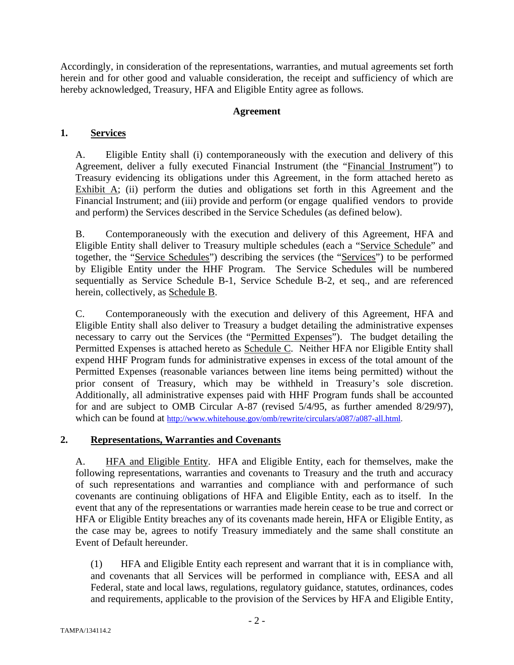Accordingly, in consideration of the representations, warranties, and mutual agreements set forth herein and for other good and valuable consideration, the receipt and sufficiency of which are hereby acknowledged, Treasury, HFA and Eligible Entity agree as follows.

### **Agreement**

### **1. Services**

A. Eligible Entity shall (i) contemporaneously with the execution and delivery of this Agreement, deliver a fully executed Financial Instrument (the "Financial Instrument") to Treasury evidencing its obligations under this Agreement, in the form attached hereto as Exhibit  $\overline{A}$ ; (ii) perform the duties and obligations set forth in this Agreement and the Financial Instrument; and (iii) provide and perform (or engage qualified vendors to provide and perform) the Services described in the Service Schedules (as defined below).

B. Contemporaneously with the execution and delivery of this Agreement, HFA and Eligible Entity shall deliver to Treasury multiple schedules (each a "Service Schedule" and together, the "Service Schedules") describing the services (the "Services") to be performed by Eligible Entity under the HHF Program. The Service Schedules will be numbered sequentially as Service Schedule B-1, Service Schedule B-2, et seq., and are referenced herein, collectively, as Schedule B.

C. Contemporaneously with the execution and delivery of this Agreement, HFA and Eligible Entity shall also deliver to Treasury a budget detailing the administrative expenses necessary to carry out the Services (the "Permitted Expenses"). The budget detailing the Permitted Expenses is attached hereto as **Schedule C.** Neither HFA nor Eligible Entity shall expend HHF Program funds for administrative expenses in excess of the total amount of the Permitted Expenses (reasonable variances between line items being permitted) without the prior consent of Treasury, which may be withheld in Treasury's sole discretion. Additionally, all administrative expenses paid with HHF Program funds shall be accounted for and are subject to OMB Circular A-87 (revised 5/4/95, as further amended 8/29/97), which can be found at http://www.whitehouse.gov/omb/rewrite/circulars/a087/a087-all.html.

### **2. Representations, Warranties and Covenants**

A. **HFA and Eligible Entity.** HFA and Eligible Entity, each for themselves, make the following representations, warranties and covenants to Treasury and the truth and accuracy of such representations and warranties and compliance with and performance of such covenants are continuing obligations of HFA and Eligible Entity, each as to itself. In the event that any of the representations or warranties made herein cease to be true and correct or HFA or Eligible Entity breaches any of its covenants made herein, HFA or Eligible Entity, as the case may be, agrees to notify Treasury immediately and the same shall constitute an Event of Default hereunder.

(1) HFA and Eligible Entity each represent and warrant that it is in compliance with, and covenants that all Services will be performed in compliance with, EESA and all Federal, state and local laws, regulations, regulatory guidance, statutes, ordinances, codes and requirements, applicable to the provision of the Services by HFA and Eligible Entity,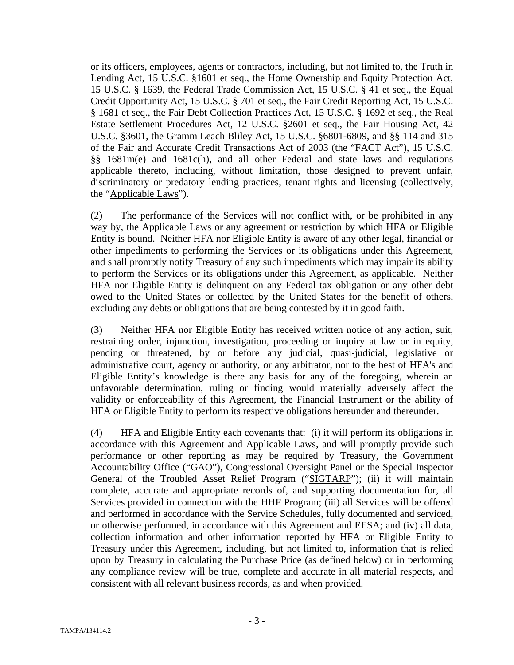or its officers, employees, agents or contractors, including, but not limited to, the Truth in Lending Act, 15 U.S.C. §1601 et seq., the Home Ownership and Equity Protection Act, 15 U.S.C. § 1639, the Federal Trade Commission Act, 15 U.S.C. § 41 et seq., the Equal Credit Opportunity Act, 15 U.S.C. § 701 et seq., the Fair Credit Reporting Act, 15 U.S.C. § 1681 et seq., the Fair Debt Collection Practices Act, 15 U.S.C. § 1692 et seq., the Real Estate Settlement Procedures Act, 12 U.S.C. §2601 et seq., the Fair Housing Act, 42 U.S.C. §3601, the Gramm Leach Bliley Act, 15 U.S.C. §6801-6809, and §§ 114 and 315 of the Fair and Accurate Credit Transactions Act of 2003 (the "FACT Act"), 15 U.S.C. §§ 1681m(e) and 1681c(h), and all other Federal and state laws and regulations applicable thereto, including, without limitation, those designed to prevent unfair, discriminatory or predatory lending practices, tenant rights and licensing (collectively, the "Applicable Laws").

(2) The performance of the Services will not conflict with, or be prohibited in any way by, the Applicable Laws or any agreement or restriction by which HFA or Eligible Entity is bound. Neither HFA nor Eligible Entity is aware of any other legal, financial or other impediments to performing the Services or its obligations under this Agreement, and shall promptly notify Treasury of any such impediments which may impair its ability to perform the Services or its obligations under this Agreement, as applicable. Neither HFA nor Eligible Entity is delinquent on any Federal tax obligation or any other debt owed to the United States or collected by the United States for the benefit of others, excluding any debts or obligations that are being contested by it in good faith.

(3) Neither HFA nor Eligible Entity has received written notice of any action, suit, restraining order, injunction, investigation, proceeding or inquiry at law or in equity, pending or threatened, by or before any judicial, quasi-judicial, legislative or administrative court, agency or authority, or any arbitrator, nor to the best of HFA's and Eligible Entity's knowledge is there any basis for any of the foregoing, wherein an unfavorable determination, ruling or finding would materially adversely affect the validity or enforceability of this Agreement, the Financial Instrument or the ability of HFA or Eligible Entity to perform its respective obligations hereunder and thereunder.

(4) HFA and Eligible Entity each covenants that: (i) it will perform its obligations in accordance with this Agreement and Applicable Laws, and will promptly provide such performance or other reporting as may be required by Treasury, the Government Accountability Office ("GAO"), Congressional Oversight Panel or the Special Inspector General of the Troubled Asset Relief Program ("SIGTARP"); (ii) it will maintain complete, accurate and appropriate records of, and supporting documentation for, all Services provided in connection with the HHF Program; (iii) all Services will be offered and performed in accordance with the Service Schedules, fully documented and serviced, or otherwise performed, in accordance with this Agreement and EESA; and (iv) all data, collection information and other information reported by HFA or Eligible Entity to Treasury under this Agreement, including, but not limited to, information that is relied upon by Treasury in calculating the Purchase Price (as defined below) or in performing any compliance review will be true, complete and accurate in all material respects, and consistent with all relevant business records, as and when provided.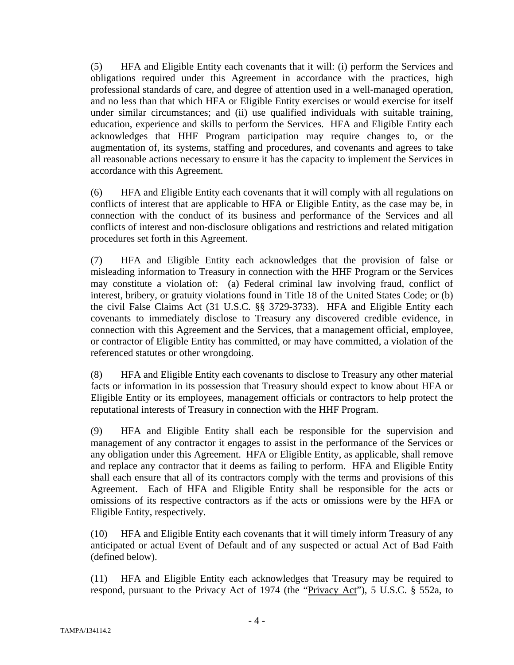(5) HFA and Eligible Entity each covenants that it will: (i) perform the Services and obligations required under this Agreement in accordance with the practices, high professional standards of care, and degree of attention used in a well-managed operation, and no less than that which HFA or Eligible Entity exercises or would exercise for itself under similar circumstances; and (ii) use qualified individuals with suitable training, education, experience and skills to perform the Services. HFA and Eligible Entity each acknowledges that HHF Program participation may require changes to, or the augmentation of, its systems, staffing and procedures, and covenants and agrees to take all reasonable actions necessary to ensure it has the capacity to implement the Services in accordance with this Agreement.

(6) HFA and Eligible Entity each covenants that it will comply with all regulations on conflicts of interest that are applicable to HFA or Eligible Entity, as the case may be, in connection with the conduct of its business and performance of the Services and all conflicts of interest and non-disclosure obligations and restrictions and related mitigation procedures set forth in this Agreement.

(7) HFA and Eligible Entity each acknowledges that the provision of false or misleading information to Treasury in connection with the HHF Program or the Services may constitute a violation of: (a) Federal criminal law involving fraud, conflict of interest, bribery, or gratuity violations found in Title 18 of the United States Code; or (b) the civil False Claims Act (31 U.S.C. §§ 3729-3733). HFA and Eligible Entity each covenants to immediately disclose to Treasury any discovered credible evidence, in connection with this Agreement and the Services, that a management official, employee, or contractor of Eligible Entity has committed, or may have committed, a violation of the referenced statutes or other wrongdoing.

(8) HFA and Eligible Entity each covenants to disclose to Treasury any other material facts or information in its possession that Treasury should expect to know about HFA or Eligible Entity or its employees, management officials or contractors to help protect the reputational interests of Treasury in connection with the HHF Program.

(9) HFA and Eligible Entity shall each be responsible for the supervision and management of any contractor it engages to assist in the performance of the Services or any obligation under this Agreement. HFA or Eligible Entity, as applicable, shall remove and replace any contractor that it deems as failing to perform. HFA and Eligible Entity shall each ensure that all of its contractors comply with the terms and provisions of this Agreement. Each of HFA and Eligible Entity shall be responsible for the acts or omissions of its respective contractors as if the acts or omissions were by the HFA or Eligible Entity, respectively.

(10) HFA and Eligible Entity each covenants that it will timely inform Treasury of any anticipated or actual Event of Default and of any suspected or actual Act of Bad Faith (defined below).

(11) HFA and Eligible Entity each acknowledges that Treasury may be required to respond, pursuant to the Privacy Act of 1974 (the "Privacy Act"), 5 U.S.C. § 552a, to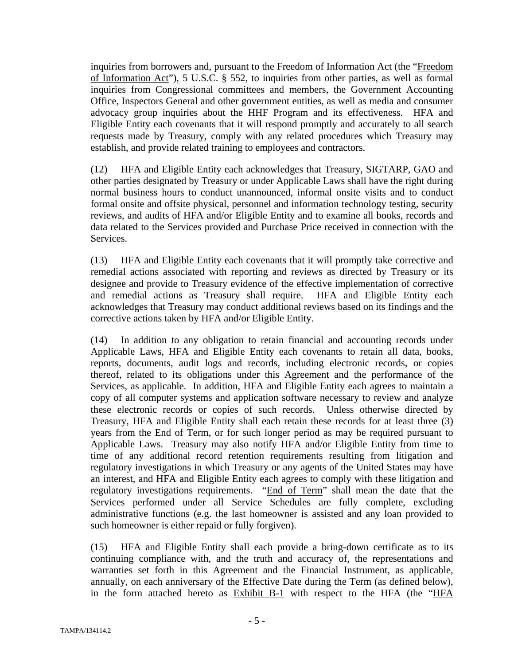inquiries from borrowers and, pursuant to the Freedom of Information Act (the "Freedom of Information Act"), 5 U.S.C. § 552, to inquiries from other parties, as well as formal inquiries from Congressional committees and members, the Government Accounting Office, Inspectors General and other government entities, as well as media and consumer advocacy group inquiries about the HHF Program and its effectiveness. HFA and Eligible Entity each covenants that it will respond promptly and accurately to all search requests made by Treasury, comply with any related procedures which Treasury may establish, and provide related training to employees and contractors.

(12) HFA and Eligible Entity each acknowledges that Treasury, SIGTARP, GAO and other parties designated by Treasury or under Applicable Laws shall have the right during normal business hours to conduct unannounced, informal onsite visits and to conduct formal onsite and offsite physical, personnel and information technology testing, security reviews, and audits of HFA and/or Eligible Entity and to examine all books, records and data related to the Services provided and Purchase Price received in connection with the Services.

(13) HFA and Eligible Entity each covenants that it will promptly take corrective and remedial actions associated with reporting and reviews as directed by Treasury or its designee and provide to Treasury evidence of the effective implementation of corrective and remedial actions as Treasury shall require. HFA and Eligible Entity each acknowledges that Treasury may conduct additional reviews based on its findings and the corrective actions taken by HFA and/or Eligible Entity.

(14) In addition to any obligation to retain financial and accounting records under Applicable Laws, HFA and Eligible Entity each covenants to retain all data, books, reports, documents, audit logs and records, including electronic records, or copies thereof, related to its obligations under this Agreement and the performance of the Services, as applicable. In addition, HFA and Eligible Entity each agrees to maintain a copy of all computer systems and application software necessary to review and analyze these electronic records or copies of such records. Unless otherwise directed by Treasury, HFA and Eligible Entity shall each retain these records for at least three (3) years from the End of Term, or for such longer period as may be required pursuant to Applicable Laws. Treasury may also notify HFA and/or Eligible Entity from time to time of any additional record retention requirements resulting from litigation and regulatory investigations in which Treasury or any agents of the United States may have an interest, and HFA and Eligible Entity each agrees to comply with these litigation and regulatory investigations requirements. "End of Term" shall mean the date that the Services performed under all Service Schedules are fully complete, excluding administrative functions (e.g. the last homeowner is assisted and any loan provided to such homeowner is either repaid or fully forgiven).

(15) HFA and Eligible Entity shall each provide a bring-down certificate as to its continuing compliance with, and the truth and accuracy of, the representations and warranties set forth in this Agreement and the Financial Instrument, as applicable, annually, on each anniversary of the Effective Date during the Term (as defined below), in the form attached hereto as Exhibit B-1 with respect to the HFA (the "HFA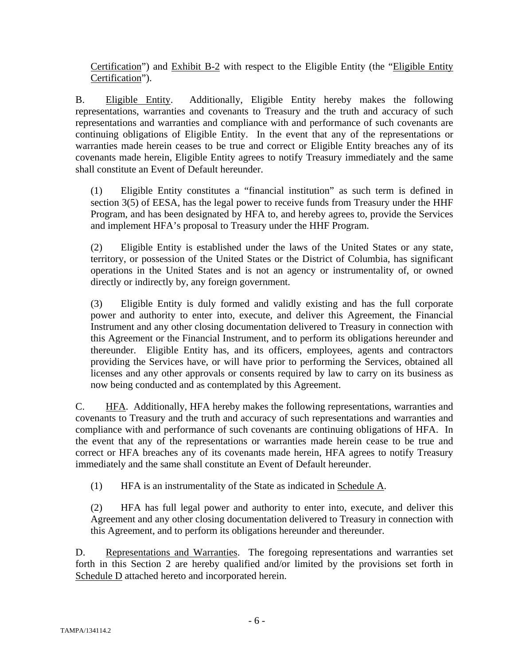Certification") and Exhibit B-2 with respect to the Eligible Entity (the "Eligible Entity Certification").

B. Eligible Entity. Additionally, Eligible Entity hereby makes the following representations, warranties and covenants to Treasury and the truth and accuracy of such representations and warranties and compliance with and performance of such covenants are continuing obligations of Eligible Entity. In the event that any of the representations or warranties made herein ceases to be true and correct or Eligible Entity breaches any of its covenants made herein, Eligible Entity agrees to notify Treasury immediately and the same shall constitute an Event of Default hereunder.

(1) Eligible Entity constitutes a "financial institution" as such term is defined in section 3(5) of EESA, has the legal power to receive funds from Treasury under the HHF Program, and has been designated by HFA to, and hereby agrees to, provide the Services and implement HFA's proposal to Treasury under the HHF Program.

(2) Eligible Entity is established under the laws of the United States or any state, territory, or possession of the United States or the District of Columbia, has significant operations in the United States and is not an agency or instrumentality of, or owned directly or indirectly by, any foreign government.

(3) Eligible Entity is duly formed and validly existing and has the full corporate power and authority to enter into, execute, and deliver this Agreement, the Financial Instrument and any other closing documentation delivered to Treasury in connection with this Agreement or the Financial Instrument, and to perform its obligations hereunder and thereunder. Eligible Entity has, and its officers, employees, agents and contractors providing the Services have, or will have prior to performing the Services, obtained all licenses and any other approvals or consents required by law to carry on its business as now being conducted and as contemplated by this Agreement.

C. HFA. Additionally, HFA hereby makes the following representations, warranties and covenants to Treasury and the truth and accuracy of such representations and warranties and compliance with and performance of such covenants are continuing obligations of HFA. In the event that any of the representations or warranties made herein cease to be true and correct or HFA breaches any of its covenants made herein, HFA agrees to notify Treasury immediately and the same shall constitute an Event of Default hereunder.

(1) HFA is an instrumentality of the State as indicated in Schedule A.

(2) HFA has full legal power and authority to enter into, execute, and deliver this Agreement and any other closing documentation delivered to Treasury in connection with this Agreement, and to perform its obligations hereunder and thereunder.

D. Representations and Warranties. The foregoing representations and warranties set forth in this Section 2 are hereby qualified and/or limited by the provisions set forth in Schedule D attached hereto and incorporated herein.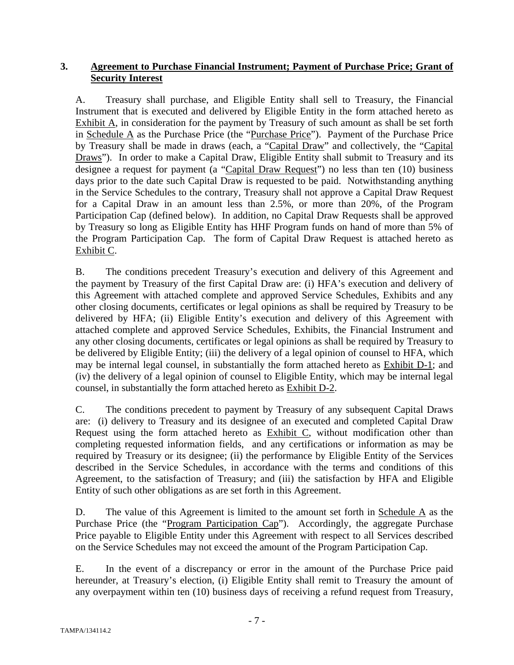### **3. Agreement to Purchase Financial Instrument; Payment of Purchase Price; Grant of Security Interest**

A. Treasury shall purchase, and Eligible Entity shall sell to Treasury, the Financial Instrument that is executed and delivered by Eligible Entity in the form attached hereto as Exhibit A, in consideration for the payment by Treasury of such amount as shall be set forth in Schedule A as the Purchase Price (the "Purchase Price"). Payment of the Purchase Price by Treasury shall be made in draws (each, a "Capital Draw" and collectively, the "Capital Draws"). In order to make a Capital Draw, Eligible Entity shall submit to Treasury and its designee a request for payment (a "Capital Draw Request") no less than ten (10) business days prior to the date such Capital Draw is requested to be paid. Notwithstanding anything in the Service Schedules to the contrary, Treasury shall not approve a Capital Draw Request for a Capital Draw in an amount less than 2.5%, or more than 20%, of the Program Participation Cap (defined below). In addition, no Capital Draw Requests shall be approved by Treasury so long as Eligible Entity has HHF Program funds on hand of more than 5% of the Program Participation Cap. The form of Capital Draw Request is attached hereto as Exhibit C.

B. The conditions precedent Treasury's execution and delivery of this Agreement and the payment by Treasury of the first Capital Draw are: (i) HFA's execution and delivery of this Agreement with attached complete and approved Service Schedules, Exhibits and any other closing documents, certificates or legal opinions as shall be required by Treasury to be delivered by HFA; (ii) Eligible Entity's execution and delivery of this Agreement with attached complete and approved Service Schedules, Exhibits, the Financial Instrument and any other closing documents, certificates or legal opinions as shall be required by Treasury to be delivered by Eligible Entity; (iii) the delivery of a legal opinion of counsel to HFA, which may be internal legal counsel, in substantially the form attached hereto as Exhibit D-1; and (iv) the delivery of a legal opinion of counsel to Eligible Entity, which may be internal legal counsel, in substantially the form attached hereto as Exhibit D-2.

C. The conditions precedent to payment by Treasury of any subsequent Capital Draws are: (i) delivery to Treasury and its designee of an executed and completed Capital Draw Request using the form attached hereto as Exhibit C, without modification other than completing requested information fields, and any certifications or information as may be required by Treasury or its designee; (ii) the performance by Eligible Entity of the Services described in the Service Schedules, in accordance with the terms and conditions of this Agreement, to the satisfaction of Treasury; and (iii) the satisfaction by HFA and Eligible Entity of such other obligations as are set forth in this Agreement.

D. The value of this Agreement is limited to the amount set forth in Schedule  $\overline{A}$  as the Purchase Price (the "Program Participation Cap"). Accordingly, the aggregate Purchase Price payable to Eligible Entity under this Agreement with respect to all Services described on the Service Schedules may not exceed the amount of the Program Participation Cap.

E. In the event of a discrepancy or error in the amount of the Purchase Price paid hereunder, at Treasury's election, (i) Eligible Entity shall remit to Treasury the amount of any overpayment within ten (10) business days of receiving a refund request from Treasury,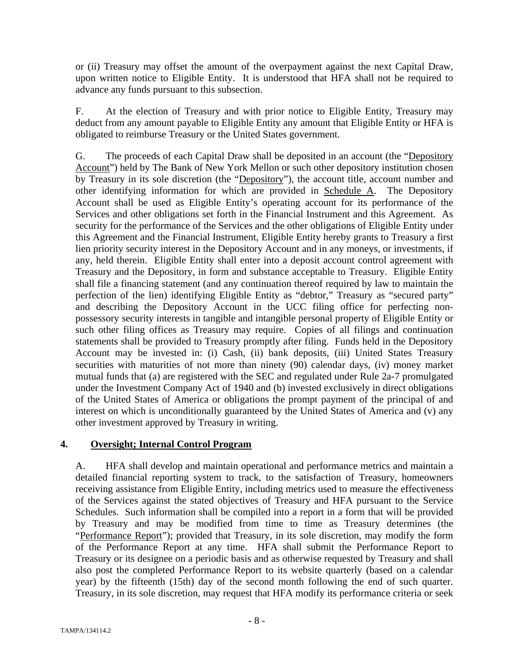or (ii) Treasury may offset the amount of the overpayment against the next Capital Draw, upon written notice to Eligible Entity. It is understood that HFA shall not be required to advance any funds pursuant to this subsection.

F. At the election of Treasury and with prior notice to Eligible Entity, Treasury may deduct from any amount payable to Eligible Entity any amount that Eligible Entity or HFA is obligated to reimburse Treasury or the United States government.

G. The proceeds of each Capital Draw shall be deposited in an account (the "Depository Account") held by The Bank of New York Mellon or such other depository institution chosen by Treasury in its sole discretion (the "Depository"), the account title, account number and other identifying information for which are provided in Schedule A. The Depository Account shall be used as Eligible Entity's operating account for its performance of the Services and other obligations set forth in the Financial Instrument and this Agreement. As security for the performance of the Services and the other obligations of Eligible Entity under this Agreement and the Financial Instrument, Eligible Entity hereby grants to Treasury a first lien priority security interest in the Depository Account and in any moneys, or investments, if any, held therein. Eligible Entity shall enter into a deposit account control agreement with Treasury and the Depository, in form and substance acceptable to Treasury. Eligible Entity shall file a financing statement (and any continuation thereof required by law to maintain the perfection of the lien) identifying Eligible Entity as "debtor," Treasury as "secured party" and describing the Depository Account in the UCC filing office for perfecting nonpossessory security interests in tangible and intangible personal property of Eligible Entity or such other filing offices as Treasury may require. Copies of all filings and continuation statements shall be provided to Treasury promptly after filing. Funds held in the Depository Account may be invested in: (i) Cash, (ii) bank deposits, (iii) United States Treasury securities with maturities of not more than ninety (90) calendar days, (iv) money market mutual funds that (a) are registered with the SEC and regulated under Rule 2a-7 promulgated under the Investment Company Act of 1940 and (b) invested exclusively in direct obligations of the United States of America or obligations the prompt payment of the principal of and interest on which is unconditionally guaranteed by the United States of America and (v) any other investment approved by Treasury in writing.

### **4. Oversight; Internal Control Program**

A. HFA shall develop and maintain operational and performance metrics and maintain a detailed financial reporting system to track, to the satisfaction of Treasury, homeowners receiving assistance from Eligible Entity, including metrics used to measure the effectiveness of the Services against the stated objectives of Treasury and HFA pursuant to the Service Schedules. Such information shall be compiled into a report in a form that will be provided by Treasury and may be modified from time to time as Treasury determines (the "Performance Report"); provided that Treasury, in its sole discretion, may modify the form of the Performance Report at any time. HFA shall submit the Performance Report to Treasury or its designee on a periodic basis and as otherwise requested by Treasury and shall also post the completed Performance Report to its website quarterly (based on a calendar year) by the fifteenth (15th) day of the second month following the end of such quarter. Treasury, in its sole discretion, may request that HFA modify its performance criteria or seek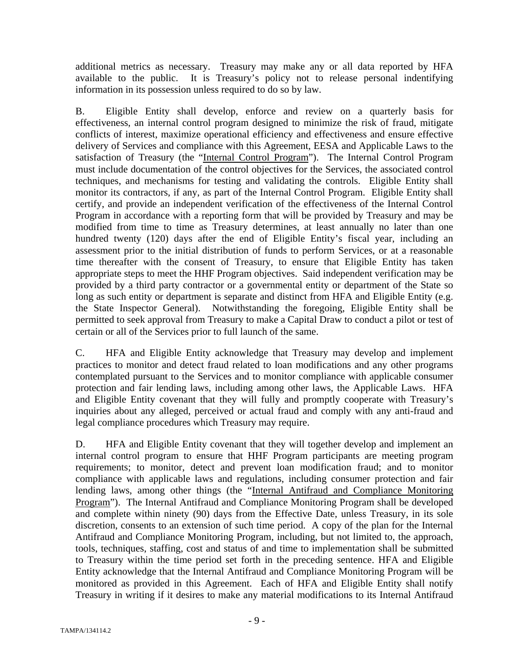additional metrics as necessary. Treasury may make any or all data reported by HFA available to the public. It is Treasury's policy not to release personal indentifying information in its possession unless required to do so by law.

B. Eligible Entity shall develop, enforce and review on a quarterly basis for effectiveness, an internal control program designed to minimize the risk of fraud, mitigate conflicts of interest, maximize operational efficiency and effectiveness and ensure effective delivery of Services and compliance with this Agreement, EESA and Applicable Laws to the satisfaction of Treasury (the "Internal Control Program"). The Internal Control Program must include documentation of the control objectives for the Services, the associated control techniques, and mechanisms for testing and validating the controls. Eligible Entity shall monitor its contractors, if any, as part of the Internal Control Program. Eligible Entity shall certify, and provide an independent verification of the effectiveness of the Internal Control Program in accordance with a reporting form that will be provided by Treasury and may be modified from time to time as Treasury determines, at least annually no later than one hundred twenty (120) days after the end of Eligible Entity's fiscal year, including an assessment prior to the initial distribution of funds to perform Services, or at a reasonable time thereafter with the consent of Treasury, to ensure that Eligible Entity has taken appropriate steps to meet the HHF Program objectives. Said independent verification may be provided by a third party contractor or a governmental entity or department of the State so long as such entity or department is separate and distinct from HFA and Eligible Entity (e.g. the State Inspector General). Notwithstanding the foregoing, Eligible Entity shall be permitted to seek approval from Treasury to make a Capital Draw to conduct a pilot or test of certain or all of the Services prior to full launch of the same.

C. HFA and Eligible Entity acknowledge that Treasury may develop and implement practices to monitor and detect fraud related to loan modifications and any other programs contemplated pursuant to the Services and to monitor compliance with applicable consumer protection and fair lending laws, including among other laws, the Applicable Laws. HFA and Eligible Entity covenant that they will fully and promptly cooperate with Treasury's inquiries about any alleged, perceived or actual fraud and comply with any anti-fraud and legal compliance procedures which Treasury may require.

D. HFA and Eligible Entity covenant that they will together develop and implement an internal control program to ensure that HHF Program participants are meeting program requirements; to monitor, detect and prevent loan modification fraud; and to monitor compliance with applicable laws and regulations, including consumer protection and fair lending laws, among other things (the "Internal Antifraud and Compliance Monitoring Program"). The Internal Antifraud and Compliance Monitoring Program shall be developed and complete within ninety (90) days from the Effective Date, unless Treasury, in its sole discretion, consents to an extension of such time period. A copy of the plan for the Internal Antifraud and Compliance Monitoring Program, including, but not limited to, the approach, tools, techniques, staffing, cost and status of and time to implementation shall be submitted to Treasury within the time period set forth in the preceding sentence. HFA and Eligible Entity acknowledge that the Internal Antifraud and Compliance Monitoring Program will be monitored as provided in this Agreement. Each of HFA and Eligible Entity shall notify Treasury in writing if it desires to make any material modifications to its Internal Antifraud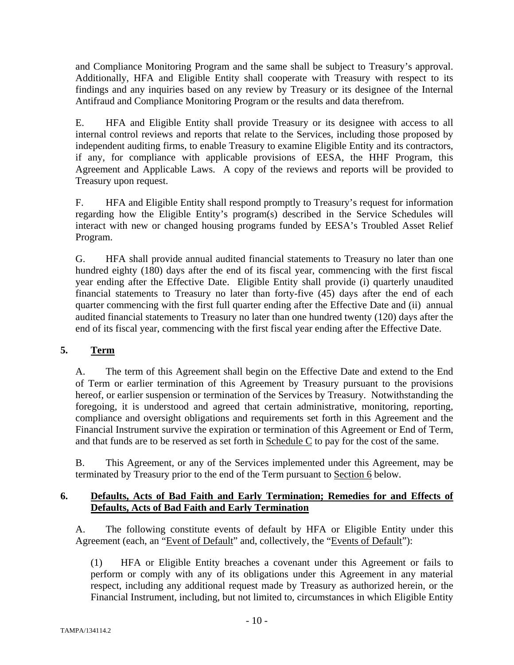and Compliance Monitoring Program and the same shall be subject to Treasury's approval. Additionally, HFA and Eligible Entity shall cooperate with Treasury with respect to its findings and any inquiries based on any review by Treasury or its designee of the Internal Antifraud and Compliance Monitoring Program or the results and data therefrom.

E. HFA and Eligible Entity shall provide Treasury or its designee with access to all internal control reviews and reports that relate to the Services, including those proposed by independent auditing firms, to enable Treasury to examine Eligible Entity and its contractors, if any, for compliance with applicable provisions of EESA, the HHF Program, this Agreement and Applicable Laws. A copy of the reviews and reports will be provided to Treasury upon request.

F. HFA and Eligible Entity shall respond promptly to Treasury's request for information regarding how the Eligible Entity's program(s) described in the Service Schedules will interact with new or changed housing programs funded by EESA's Troubled Asset Relief Program.

G. HFA shall provide annual audited financial statements to Treasury no later than one hundred eighty (180) days after the end of its fiscal year, commencing with the first fiscal year ending after the Effective Date. Eligible Entity shall provide (i) quarterly unaudited financial statements to Treasury no later than forty-five (45) days after the end of each quarter commencing with the first full quarter ending after the Effective Date and (ii) annual audited financial statements to Treasury no later than one hundred twenty (120) days after the end of its fiscal year, commencing with the first fiscal year ending after the Effective Date.

## **5. Term**

A. The term of this Agreement shall begin on the Effective Date and extend to the End of Term or earlier termination of this Agreement by Treasury pursuant to the provisions hereof, or earlier suspension or termination of the Services by Treasury. Notwithstanding the foregoing, it is understood and agreed that certain administrative, monitoring, reporting, compliance and oversight obligations and requirements set forth in this Agreement and the Financial Instrument survive the expiration or termination of this Agreement or End of Term, and that funds are to be reserved as set forth in Schedule C to pay for the cost of the same.

B. This Agreement, or any of the Services implemented under this Agreement, may be terminated by Treasury prior to the end of the Term pursuant to Section 6 below.

### **6. Defaults, Acts of Bad Faith and Early Termination; Remedies for and Effects of Defaults, Acts of Bad Faith and Early Termination**

A. The following constitute events of default by HFA or Eligible Entity under this Agreement (each, an "Event of Default" and, collectively, the "Events of Default"):

(1) HFA or Eligible Entity breaches a covenant under this Agreement or fails to perform or comply with any of its obligations under this Agreement in any material respect, including any additional request made by Treasury as authorized herein, or the Financial Instrument, including, but not limited to, circumstances in which Eligible Entity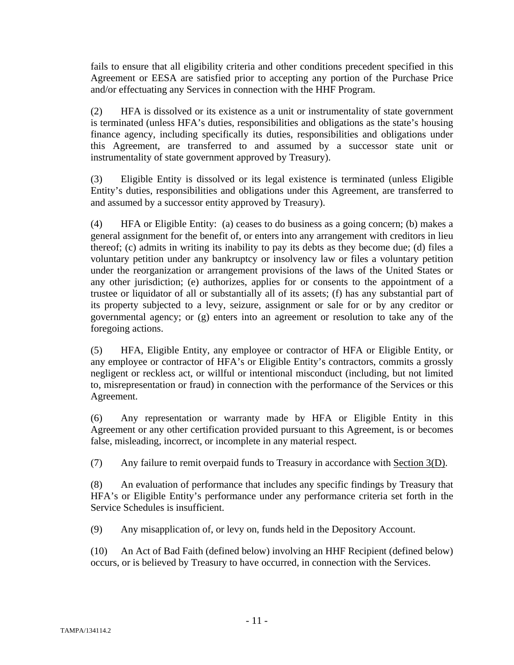fails to ensure that all eligibility criteria and other conditions precedent specified in this Agreement or EESA are satisfied prior to accepting any portion of the Purchase Price and/or effectuating any Services in connection with the HHF Program.

(2) HFA is dissolved or its existence as a unit or instrumentality of state government is terminated (unless HFA's duties, responsibilities and obligations as the state's housing finance agency, including specifically its duties, responsibilities and obligations under this Agreement, are transferred to and assumed by a successor state unit or instrumentality of state government approved by Treasury).

(3) Eligible Entity is dissolved or its legal existence is terminated (unless Eligible Entity's duties, responsibilities and obligations under this Agreement, are transferred to and assumed by a successor entity approved by Treasury).

(4) HFA or Eligible Entity: (a) ceases to do business as a going concern; (b) makes a general assignment for the benefit of, or enters into any arrangement with creditors in lieu thereof; (c) admits in writing its inability to pay its debts as they become due; (d) files a voluntary petition under any bankruptcy or insolvency law or files a voluntary petition under the reorganization or arrangement provisions of the laws of the United States or any other jurisdiction; (e) authorizes, applies for or consents to the appointment of a trustee or liquidator of all or substantially all of its assets; (f) has any substantial part of its property subjected to a levy, seizure, assignment or sale for or by any creditor or governmental agency; or (g) enters into an agreement or resolution to take any of the foregoing actions.

(5) HFA, Eligible Entity, any employee or contractor of HFA or Eligible Entity, or any employee or contractor of HFA's or Eligible Entity's contractors, commits a grossly negligent or reckless act, or willful or intentional misconduct (including, but not limited to, misrepresentation or fraud) in connection with the performance of the Services or this Agreement.

(6) Any representation or warranty made by HFA or Eligible Entity in this Agreement or any other certification provided pursuant to this Agreement, is or becomes false, misleading, incorrect, or incomplete in any material respect.

(7) Any failure to remit overpaid funds to Treasury in accordance with Section 3(D).

(8) An evaluation of performance that includes any specific findings by Treasury that HFA's or Eligible Entity's performance under any performance criteria set forth in the Service Schedules is insufficient.

(9) Any misapplication of, or levy on, funds held in the Depository Account.

(10) An Act of Bad Faith (defined below) involving an HHF Recipient (defined below) occurs, or is believed by Treasury to have occurred, in connection with the Services.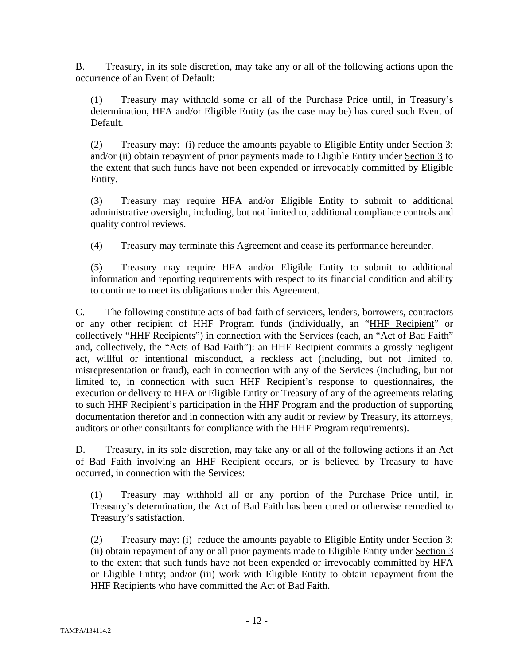B. Treasury, in its sole discretion, may take any or all of the following actions upon the occurrence of an Event of Default:

(1) Treasury may withhold some or all of the Purchase Price until, in Treasury's determination, HFA and/or Eligible Entity (as the case may be) has cured such Event of Default.

(2) Treasury may: (i) reduce the amounts payable to Eligible Entity under Section 3; and/or (ii) obtain repayment of prior payments made to Eligible Entity under Section 3 to the extent that such funds have not been expended or irrevocably committed by Eligible Entity.

(3) Treasury may require HFA and/or Eligible Entity to submit to additional administrative oversight, including, but not limited to, additional compliance controls and quality control reviews.

(4) Treasury may terminate this Agreement and cease its performance hereunder.

(5) Treasury may require HFA and/or Eligible Entity to submit to additional information and reporting requirements with respect to its financial condition and ability to continue to meet its obligations under this Agreement.

C. The following constitute acts of bad faith of servicers, lenders, borrowers, contractors or any other recipient of HHF Program funds (individually, an "HHF Recipient" or collectively "HHF Recipients") in connection with the Services (each, an "Act of Bad Faith" and, collectively, the "Acts of Bad Faith"): an HHF Recipient commits a grossly negligent act, willful or intentional misconduct, a reckless act (including, but not limited to, misrepresentation or fraud), each in connection with any of the Services (including, but not limited to, in connection with such HHF Recipient's response to questionnaires, the execution or delivery to HFA or Eligible Entity or Treasury of any of the agreements relating to such HHF Recipient's participation in the HHF Program and the production of supporting documentation therefor and in connection with any audit or review by Treasury, its attorneys, auditors or other consultants for compliance with the HHF Program requirements).

D. Treasury, in its sole discretion, may take any or all of the following actions if an Act of Bad Faith involving an HHF Recipient occurs, or is believed by Treasury to have occurred, in connection with the Services:

(1) Treasury may withhold all or any portion of the Purchase Price until, in Treasury's determination, the Act of Bad Faith has been cured or otherwise remedied to Treasury's satisfaction.

(2) Treasury may: (i) reduce the amounts payable to Eligible Entity under Section 3; (ii) obtain repayment of any or all prior payments made to Eligible Entity under Section 3 to the extent that such funds have not been expended or irrevocably committed by HFA or Eligible Entity; and/or (iii) work with Eligible Entity to obtain repayment from the HHF Recipients who have committed the Act of Bad Faith.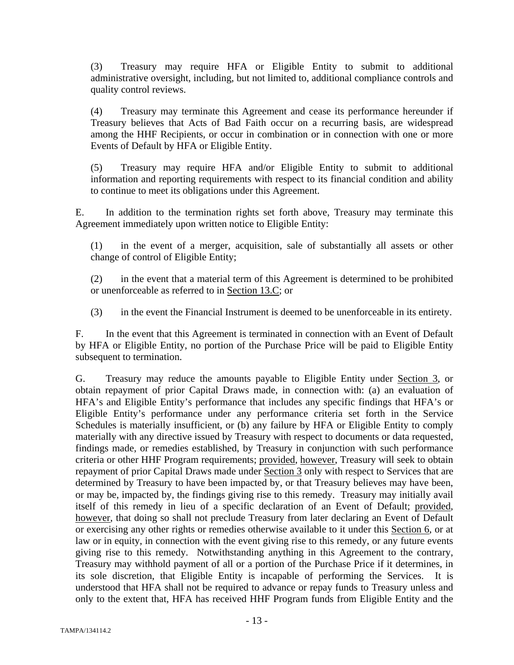(3) Treasury may require HFA or Eligible Entity to submit to additional administrative oversight, including, but not limited to, additional compliance controls and quality control reviews.

(4) Treasury may terminate this Agreement and cease its performance hereunder if Treasury believes that Acts of Bad Faith occur on a recurring basis, are widespread among the HHF Recipients, or occur in combination or in connection with one or more Events of Default by HFA or Eligible Entity.

(5) Treasury may require HFA and/or Eligible Entity to submit to additional information and reporting requirements with respect to its financial condition and ability to continue to meet its obligations under this Agreement.

E. In addition to the termination rights set forth above, Treasury may terminate this Agreement immediately upon written notice to Eligible Entity:

(1) in the event of a merger, acquisition, sale of substantially all assets or other change of control of Eligible Entity;

(2) in the event that a material term of this Agreement is determined to be prohibited or unenforceable as referred to in Section 13.C; or

(3) in the event the Financial Instrument is deemed to be unenforceable in its entirety.

F. In the event that this Agreement is terminated in connection with an Event of Default by HFA or Eligible Entity, no portion of the Purchase Price will be paid to Eligible Entity subsequent to termination.

G. Treasury may reduce the amounts payable to Eligible Entity under Section 3, or obtain repayment of prior Capital Draws made, in connection with: (a) an evaluation of HFA's and Eligible Entity's performance that includes any specific findings that HFA's or Eligible Entity's performance under any performance criteria set forth in the Service Schedules is materially insufficient, or (b) any failure by HFA or Eligible Entity to comply materially with any directive issued by Treasury with respect to documents or data requested, findings made, or remedies established, by Treasury in conjunction with such performance criteria or other HHF Program requirements; provided, however, Treasury will seek to obtain repayment of prior Capital Draws made under Section 3 only with respect to Services that are determined by Treasury to have been impacted by, or that Treasury believes may have been, or may be, impacted by, the findings giving rise to this remedy. Treasury may initially avail itself of this remedy in lieu of a specific declaration of an Event of Default; provided, however, that doing so shall not preclude Treasury from later declaring an Event of Default or exercising any other rights or remedies otherwise available to it under this Section 6, or at law or in equity, in connection with the event giving rise to this remedy, or any future events giving rise to this remedy. Notwithstanding anything in this Agreement to the contrary, Treasury may withhold payment of all or a portion of the Purchase Price if it determines, in its sole discretion, that Eligible Entity is incapable of performing the Services. It is understood that HFA shall not be required to advance or repay funds to Treasury unless and only to the extent that, HFA has received HHF Program funds from Eligible Entity and the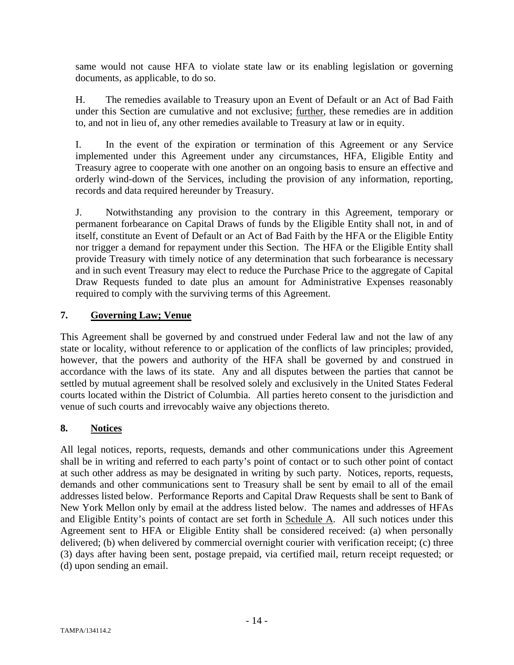same would not cause HFA to violate state law or its enabling legislation or governing documents, as applicable, to do so.

H. The remedies available to Treasury upon an Event of Default or an Act of Bad Faith under this Section are cumulative and not exclusive; further, these remedies are in addition to, and not in lieu of, any other remedies available to Treasury at law or in equity.

I. In the event of the expiration or termination of this Agreement or any Service implemented under this Agreement under any circumstances, HFA, Eligible Entity and Treasury agree to cooperate with one another on an ongoing basis to ensure an effective and orderly wind-down of the Services, including the provision of any information, reporting, records and data required hereunder by Treasury.

J. Notwithstanding any provision to the contrary in this Agreement, temporary or permanent forbearance on Capital Draws of funds by the Eligible Entity shall not, in and of itself, constitute an Event of Default or an Act of Bad Faith by the HFA or the Eligible Entity nor trigger a demand for repayment under this Section. The HFA or the Eligible Entity shall provide Treasury with timely notice of any determination that such forbearance is necessary and in such event Treasury may elect to reduce the Purchase Price to the aggregate of Capital Draw Requests funded to date plus an amount for Administrative Expenses reasonably required to comply with the surviving terms of this Agreement.

### **7. Governing Law; Venue**

This Agreement shall be governed by and construed under Federal law and not the law of any state or locality, without reference to or application of the conflicts of law principles; provided, however, that the powers and authority of the HFA shall be governed by and construed in accordance with the laws of its state. Any and all disputes between the parties that cannot be settled by mutual agreement shall be resolved solely and exclusively in the United States Federal courts located within the District of Columbia. All parties hereto consent to the jurisdiction and venue of such courts and irrevocably waive any objections thereto.

## **8. Notices**

All legal notices, reports, requests, demands and other communications under this Agreement shall be in writing and referred to each party's point of contact or to such other point of contact at such other address as may be designated in writing by such party. Notices, reports, requests, demands and other communications sent to Treasury shall be sent by email to all of the email addresses listed below. Performance Reports and Capital Draw Requests shall be sent to Bank of New York Mellon only by email at the address listed below. The names and addresses of HFAs and Eligible Entity's points of contact are set forth in Schedule A. All such notices under this Agreement sent to HFA or Eligible Entity shall be considered received: (a) when personally delivered; (b) when delivered by commercial overnight courier with verification receipt; (c) three (3) days after having been sent, postage prepaid, via certified mail, return receipt requested; or (d) upon sending an email.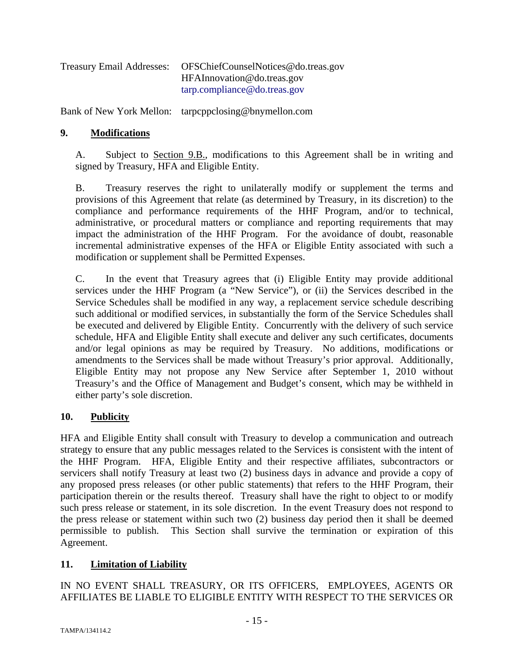| <b>Treasury Email Addresses:</b> | OFSChiefCounselNotices@do.treas.gov |
|----------------------------------|-------------------------------------|
|                                  | HFAInnovation@do.treas.gov          |
|                                  | tarp.compileance@do.treas.gov       |

Bank of New York Mellon: tarpcppclosing@bnymellon.com

### **9. Modifications**

A. Subject to Section 9.B., modifications to this Agreement shall be in writing and signed by Treasury, HFA and Eligible Entity.

B. Treasury reserves the right to unilaterally modify or supplement the terms and provisions of this Agreement that relate (as determined by Treasury, in its discretion) to the compliance and performance requirements of the HHF Program, and/or to technical, administrative, or procedural matters or compliance and reporting requirements that may impact the administration of the HHF Program. For the avoidance of doubt, reasonable incremental administrative expenses of the HFA or Eligible Entity associated with such a modification or supplement shall be Permitted Expenses.

C. In the event that Treasury agrees that (i) Eligible Entity may provide additional services under the HHF Program (a "New Service"), or (ii) the Services described in the Service Schedules shall be modified in any way, a replacement service schedule describing such additional or modified services, in substantially the form of the Service Schedules shall be executed and delivered by Eligible Entity. Concurrently with the delivery of such service schedule, HFA and Eligible Entity shall execute and deliver any such certificates, documents and/or legal opinions as may be required by Treasury. No additions, modifications or amendments to the Services shall be made without Treasury's prior approval. Additionally, Eligible Entity may not propose any New Service after September 1, 2010 without Treasury's and the Office of Management and Budget's consent, which may be withheld in either party's sole discretion.

### **10. Publicity**

HFA and Eligible Entity shall consult with Treasury to develop a communication and outreach strategy to ensure that any public messages related to the Services is consistent with the intent of the HHF Program. HFA, Eligible Entity and their respective affiliates, subcontractors or servicers shall notify Treasury at least two (2) business days in advance and provide a copy of any proposed press releases (or other public statements) that refers to the HHF Program, their participation therein or the results thereof. Treasury shall have the right to object to or modify such press release or statement, in its sole discretion. In the event Treasury does not respond to the press release or statement within such two (2) business day period then it shall be deemed permissible to publish. This Section shall survive the termination or expiration of this Agreement.

### **11. Limitation of Liability**

IN NO EVENT SHALL TREASURY, OR ITS OFFICERS, EMPLOYEES, AGENTS OR AFFILIATES BE LIABLE TO ELIGIBLE ENTITY WITH RESPECT TO THE SERVICES OR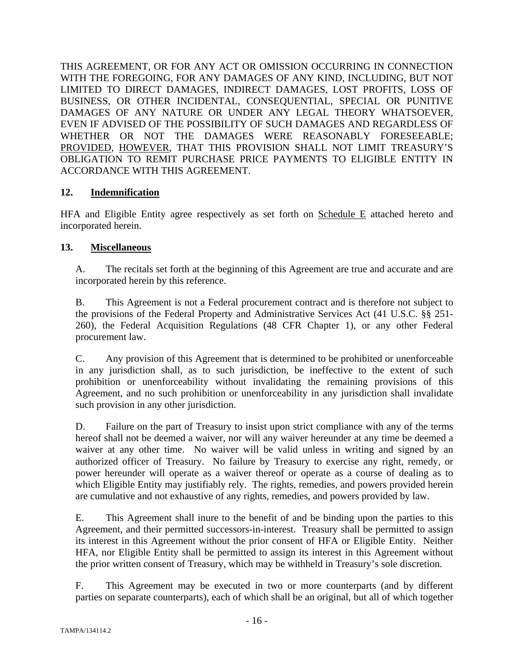THIS AGREEMENT, OR FOR ANY ACT OR OMISSION OCCURRING IN CONNECTION WITH THE FOREGOING, FOR ANY DAMAGES OF ANY KIND, INCLUDING, BUT NOT LIMITED TO DIRECT DAMAGES, INDIRECT DAMAGES, LOST PROFITS, LOSS OF BUSINESS, OR OTHER INCIDENTAL, CONSEQUENTIAL, SPECIAL OR PUNITIVE DAMAGES OF ANY NATURE OR UNDER ANY LEGAL THEORY WHATSOEVER, EVEN IF ADVISED OF THE POSSIBILITY OF SUCH DAMAGES AND REGARDLESS OF WHETHER OR NOT THE DAMAGES WERE REASONABLY FORESEEABLE; PROVIDED, HOWEVER, THAT THIS PROVISION SHALL NOT LIMIT TREASURY'S OBLIGATION TO REMIT PURCHASE PRICE PAYMENTS TO ELIGIBLE ENTITY IN ACCORDANCE WITH THIS AGREEMENT.

### **12. Indemnification**

HFA and Eligible Entity agree respectively as set forth on Schedule E attached hereto and incorporated herein.

### **13. Miscellaneous**

A. The recitals set forth at the beginning of this Agreement are true and accurate and are incorporated herein by this reference.

B. This Agreement is not a Federal procurement contract and is therefore not subject to the provisions of the Federal Property and Administrative Services Act (41 U.S.C. §§ 251- 260), the Federal Acquisition Regulations (48 CFR Chapter 1), or any other Federal procurement law.

C. Any provision of this Agreement that is determined to be prohibited or unenforceable in any jurisdiction shall, as to such jurisdiction, be ineffective to the extent of such prohibition or unenforceability without invalidating the remaining provisions of this Agreement, and no such prohibition or unenforceability in any jurisdiction shall invalidate such provision in any other jurisdiction.

D. Failure on the part of Treasury to insist upon strict compliance with any of the terms hereof shall not be deemed a waiver, nor will any waiver hereunder at any time be deemed a waiver at any other time. No waiver will be valid unless in writing and signed by an authorized officer of Treasury. No failure by Treasury to exercise any right, remedy, or power hereunder will operate as a waiver thereof or operate as a course of dealing as to which Eligible Entity may justifiably rely. The rights, remedies, and powers provided herein are cumulative and not exhaustive of any rights, remedies, and powers provided by law.

E. This Agreement shall inure to the benefit of and be binding upon the parties to this Agreement, and their permitted successors-in-interest. Treasury shall be permitted to assign its interest in this Agreement without the prior consent of HFA or Eligible Entity. Neither HFA, nor Eligible Entity shall be permitted to assign its interest in this Agreement without the prior written consent of Treasury, which may be withheld in Treasury's sole discretion.

F. This Agreement may be executed in two or more counterparts (and by different parties on separate counterparts), each of which shall be an original, but all of which together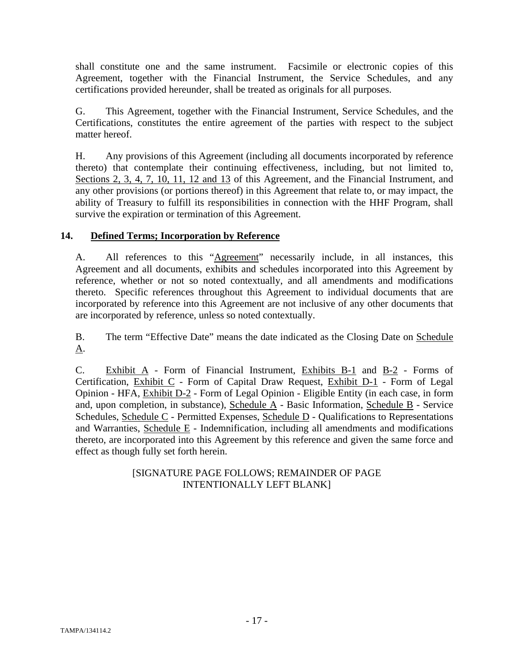shall constitute one and the same instrument. Facsimile or electronic copies of this Agreement, together with the Financial Instrument, the Service Schedules, and any certifications provided hereunder, shall be treated as originals for all purposes.

G. This Agreement, together with the Financial Instrument, Service Schedules, and the Certifications, constitutes the entire agreement of the parties with respect to the subject matter hereof.

H. Any provisions of this Agreement (including all documents incorporated by reference thereto) that contemplate their continuing effectiveness, including, but not limited to, Sections 2, 3, 4, 7, 10, 11, 12 and 13 of this Agreement, and the Financial Instrument, and any other provisions (or portions thereof) in this Agreement that relate to, or may impact, the ability of Treasury to fulfill its responsibilities in connection with the HHF Program, shall survive the expiration or termination of this Agreement.

### **14. Defined Terms; Incorporation by Reference**

A. All references to this "Agreement" necessarily include, in all instances, this Agreement and all documents, exhibits and schedules incorporated into this Agreement by reference, whether or not so noted contextually, and all amendments and modifications thereto. Specific references throughout this Agreement to individual documents that are incorporated by reference into this Agreement are not inclusive of any other documents that are incorporated by reference, unless so noted contextually.

B. The term "Effective Date" means the date indicated as the Closing Date on Schedule A.

C. Exhibit A - Form of Financial Instrument, Exhibits B-1 and B-2 - Forms of Certification, Exhibit C - Form of Capital Draw Request, Exhibit D-1 - Form of Legal Opinion - HFA, Exhibit D-2 - Form of Legal Opinion - Eligible Entity (in each case, in form and, upon completion, in substance), Schedule A - Basic Information, Schedule B - Service Schedules, Schedule C - Permitted Expenses, Schedule D - Qualifications to Representations and Warranties, Schedule E - Indemnification, including all amendments and modifications thereto, are incorporated into this Agreement by this reference and given the same force and effect as though fully set forth herein.

### [SIGNATURE PAGE FOLLOWS; REMAINDER OF PAGE INTENTIONALLY LEFT BLANK]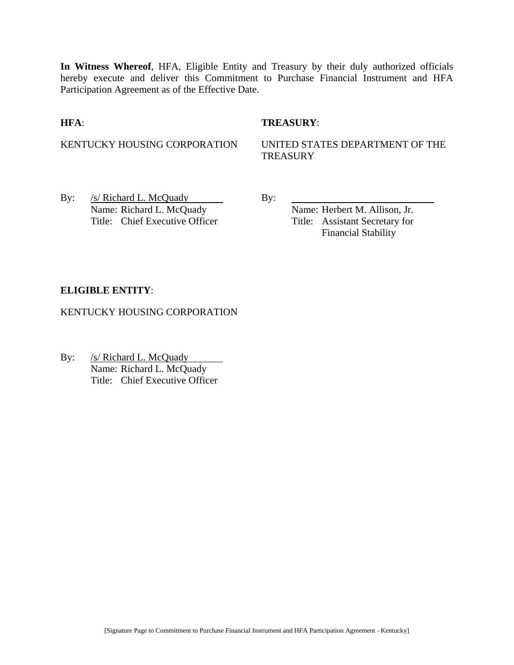**In Witness Whereof**, HFA, Eligible Entity and Treasury by their duly authorized officials hereby execute and deliver this Commitment to Purchase Financial Instrument and HFA Participation Agreement as of the Effective Date.

**HFA**: **TREASURY**:

KENTUCKY HOUSING CORPORATION UNITED STATES DEPARTMENT OF THE **TREASURY** 

By: /s/ Richard L. McQuady By: Name: Richard L. McQuady Name: Herbert M. Allison, Jr. Title: Chief Executive Officer Title: Assistant Secretary for

Financial Stability

#### **ELIGIBLE ENTITY**:

KENTUCKY HOUSING CORPORATION

By: /s/ Richard L. McQuady  $\mathcal{L}_{\mathcal{A}}$ Name: Richard L. McQuady Title: Chief Executive Officer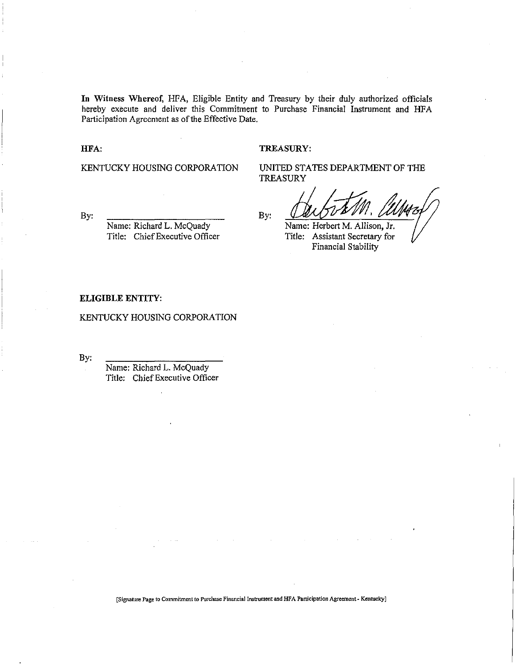**In** Witness Whereof, HFA, Eligible Entity and Treasury by their duly authorized officials hereby execute and deliver this Commitment to Purchase Financial Instrument and HFA Participation Agreement as of the Effective Date.

HFA:

#### TREASURY:

KENTUCKY HOUSING CORPORATION

By:

Name: Richard L. McQuady Title: Chief Executive Officer

UNITED STATES DEPARTMENT OF THE TREASURY

By:

Name: Herbert M. Allison, Jr. Title: Assistant Secretary for Financial Stability

#### **ELIGIBLE ENTITY:**

KENTUCKY HOUSING CORPORATION

By:

Name: Richard L. McQuadY Title: Chief Executive Officer

**[Signature Page to Commitment to Purchase Financial Instrument and HFA Participation Agreement Kentucky]**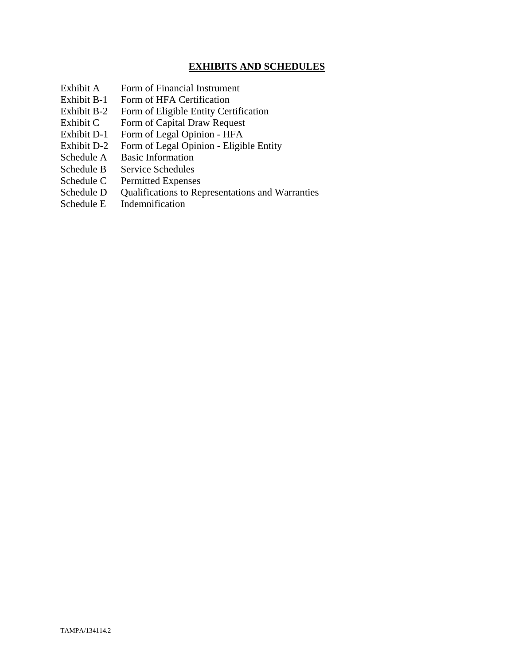### **EXHIBITS AND SCHEDULES**

- Exhibit A Form of Financial Instrument
- Exhibit B-1 Form of HFA Certification
- Exhibit B-2 Form of Eligible Entity Certification
- Exhibit C Form of Capital Draw Request
- Exhibit D-1 Form of Legal Opinion HFA
- Exhibit D-2 Form of Legal Opinion Eligible Entity
- Schedule A Basic Information
- Schedule B Service Schedules
- Schedule C Permitted Expenses
- Schedule D Qualifications to Representations and Warranties
- Schedule E Indemnification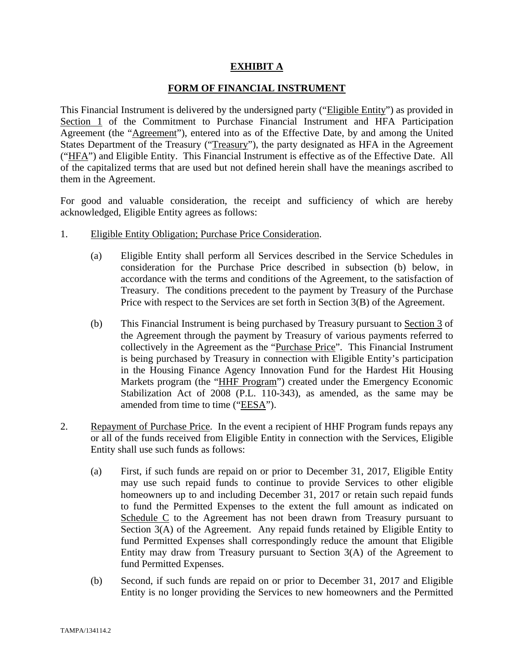### **EXHIBIT A**

#### **FORM OF FINANCIAL INSTRUMENT**

This Financial Instrument is delivered by the undersigned party ("Eligible Entity") as provided in Section 1 of the Commitment to Purchase Financial Instrument and HFA Participation Agreement (the "Agreement"), entered into as of the Effective Date, by and among the United States Department of the Treasury ("Treasury"), the party designated as HFA in the Agreement ("HFA") and Eligible Entity. This Financial Instrument is effective as of the Effective Date. All of the capitalized terms that are used but not defined herein shall have the meanings ascribed to them in the Agreement.

For good and valuable consideration, the receipt and sufficiency of which are hereby acknowledged, Eligible Entity agrees as follows:

- 1. Eligible Entity Obligation; Purchase Price Consideration.
	- (a) Eligible Entity shall perform all Services described in the Service Schedules in consideration for the Purchase Price described in subsection (b) below, in accordance with the terms and conditions of the Agreement, to the satisfaction of Treasury. The conditions precedent to the payment by Treasury of the Purchase Price with respect to the Services are set forth in Section 3(B) of the Agreement.
	- (b) This Financial Instrument is being purchased by Treasury pursuant to Section 3 of the Agreement through the payment by Treasury of various payments referred to collectively in the Agreement as the "Purchase Price". This Financial Instrument is being purchased by Treasury in connection with Eligible Entity's participation in the Housing Finance Agency Innovation Fund for the Hardest Hit Housing Markets program (the "HHF Program") created under the Emergency Economic Stabilization Act of 2008 (P.L. 110-343), as amended, as the same may be amended from time to time ("EESA").
- 2. Repayment of Purchase Price. In the event a recipient of HHF Program funds repays any or all of the funds received from Eligible Entity in connection with the Services, Eligible Entity shall use such funds as follows:
	- (a) First, if such funds are repaid on or prior to December 31, 2017, Eligible Entity may use such repaid funds to continue to provide Services to other eligible homeowners up to and including December 31, 2017 or retain such repaid funds to fund the Permitted Expenses to the extent the full amount as indicated on Schedule C to the Agreement has not been drawn from Treasury pursuant to Section 3(A) of the Agreement. Any repaid funds retained by Eligible Entity to fund Permitted Expenses shall correspondingly reduce the amount that Eligible Entity may draw from Treasury pursuant to Section 3(A) of the Agreement to fund Permitted Expenses.
	- (b) Second, if such funds are repaid on or prior to December 31, 2017 and Eligible Entity is no longer providing the Services to new homeowners and the Permitted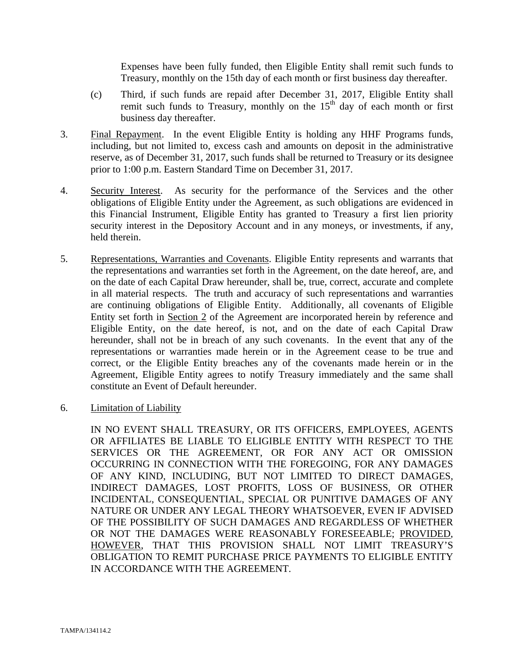Expenses have been fully funded, then Eligible Entity shall remit such funds to Treasury, monthly on the 15th day of each month or first business day thereafter.

- (c) Third, if such funds are repaid after December 31, 2017, Eligible Entity shall remit such funds to Treasury, monthly on the  $15<sup>th</sup>$  day of each month or first business day thereafter.
- 3. Final Repayment. In the event Eligible Entity is holding any HHF Programs funds, including, but not limited to, excess cash and amounts on deposit in the administrative reserve, as of December 31, 2017, such funds shall be returned to Treasury or its designee prior to 1:00 p.m. Eastern Standard Time on December 31, 2017.
- 4. Security Interest. As security for the performance of the Services and the other obligations of Eligible Entity under the Agreement, as such obligations are evidenced in this Financial Instrument, Eligible Entity has granted to Treasury a first lien priority security interest in the Depository Account and in any moneys, or investments, if any, held therein.
- 5. Representations, Warranties and Covenants. Eligible Entity represents and warrants that the representations and warranties set forth in the Agreement, on the date hereof, are, and on the date of each Capital Draw hereunder, shall be, true, correct, accurate and complete in all material respects. The truth and accuracy of such representations and warranties are continuing obligations of Eligible Entity. Additionally, all covenants of Eligible Entity set forth in Section 2 of the Agreement are incorporated herein by reference and Eligible Entity, on the date hereof, is not, and on the date of each Capital Draw hereunder, shall not be in breach of any such covenants. In the event that any of the representations or warranties made herein or in the Agreement cease to be true and correct, or the Eligible Entity breaches any of the covenants made herein or in the Agreement, Eligible Entity agrees to notify Treasury immediately and the same shall constitute an Event of Default hereunder.
- 6. Limitation of Liability

IN NO EVENT SHALL TREASURY, OR ITS OFFICERS, EMPLOYEES, AGENTS OR AFFILIATES BE LIABLE TO ELIGIBLE ENTITY WITH RESPECT TO THE SERVICES OR THE AGREEMENT, OR FOR ANY ACT OR OMISSION OCCURRING IN CONNECTION WITH THE FOREGOING, FOR ANY DAMAGES OF ANY KIND, INCLUDING, BUT NOT LIMITED TO DIRECT DAMAGES, INDIRECT DAMAGES, LOST PROFITS, LOSS OF BUSINESS, OR OTHER INCIDENTAL, CONSEQUENTIAL, SPECIAL OR PUNITIVE DAMAGES OF ANY NATURE OR UNDER ANY LEGAL THEORY WHATSOEVER, EVEN IF ADVISED OF THE POSSIBILITY OF SUCH DAMAGES AND REGARDLESS OF WHETHER OR NOT THE DAMAGES WERE REASONABLY FORESEEABLE; PROVIDED, HOWEVER, THAT THIS PROVISION SHALL NOT LIMIT TREASURY'S OBLIGATION TO REMIT PURCHASE PRICE PAYMENTS TO ELIGIBLE ENTITY IN ACCORDANCE WITH THE AGREEMENT.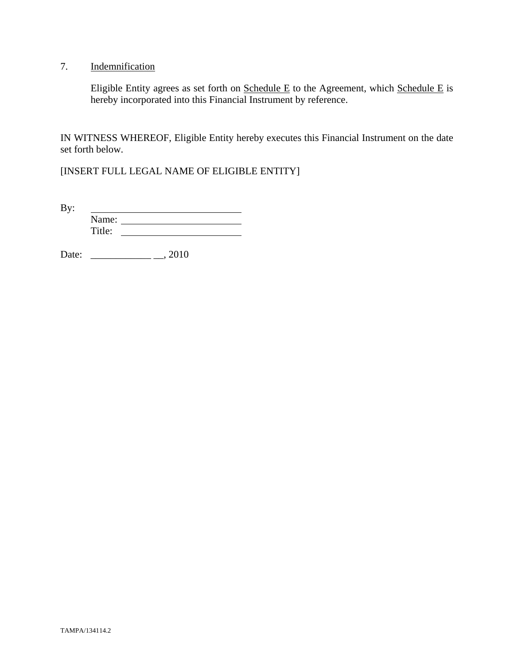## 7. Indemnification

Eligible Entity agrees as set forth on  $S$ chedule E to the Agreement, which  $S$ chedule E is hereby incorporated into this Financial Instrument by reference.

IN WITNESS WHEREOF, Eligible Entity hereby executes this Financial Instrument on the date set forth below.

[INSERT FULL LEGAL NAME OF ELIGIBLE ENTITY]

By: <u> 1980 - Johann Barbara, martin a</u> Name: Title:

Date: \_\_\_\_\_\_\_\_\_\_\_\_ \_\_, 2010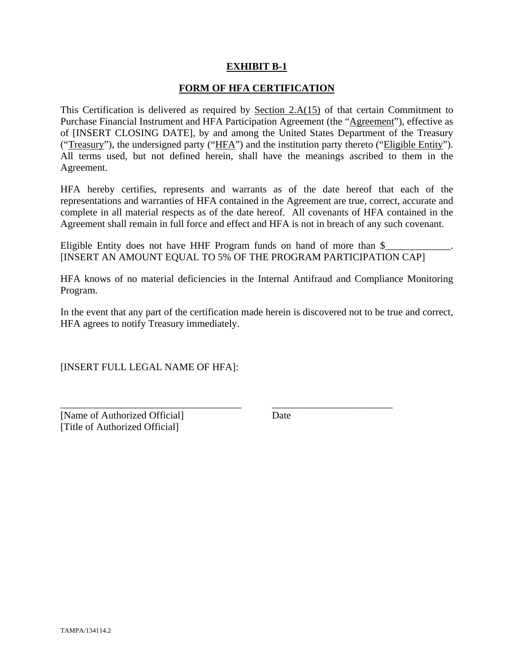### **EXHIBIT B-1**

#### **FORM OF HFA CERTIFICATION**

This Certification is delivered as required by Section  $2.A(15)$  of that certain Commitment to Purchase Financial Instrument and HFA Participation Agreement (the "Agreement"), effective as of [INSERT CLOSING DATE], by and among the United States Department of the Treasury ("Treasury"), the undersigned party ("HFA") and the institution party thereto ("Eligible Entity"). All terms used, but not defined herein, shall have the meanings ascribed to them in the Agreement.

HFA hereby certifies, represents and warrants as of the date hereof that each of the representations and warranties of HFA contained in the Agreement are true, correct, accurate and complete in all material respects as of the date hereof. All covenants of HFA contained in the Agreement shall remain in full force and effect and HFA is not in breach of any such covenant.

Eligible Entity does not have HHF Program funds on hand of more than  $\frac{1}{2}$ [INSERT AN AMOUNT EQUAL TO 5% OF THE PROGRAM PARTICIPATION CAP]

HFA knows of no material deficiencies in the Internal Antifraud and Compliance Monitoring Program.

In the event that any part of the certification made herein is discovered not to be true and correct, HFA agrees to notify Treasury immediately.

\_\_\_\_\_\_\_\_\_\_\_\_\_\_\_\_\_\_\_\_\_\_\_\_\_\_\_\_\_\_\_\_\_\_\_\_ \_\_\_\_\_\_\_\_\_\_\_\_\_\_\_\_\_\_\_\_\_\_\_\_

[INSERT FULL LEGAL NAME OF HFA]:

[Name of Authorized Official] Date [Title of Authorized Official]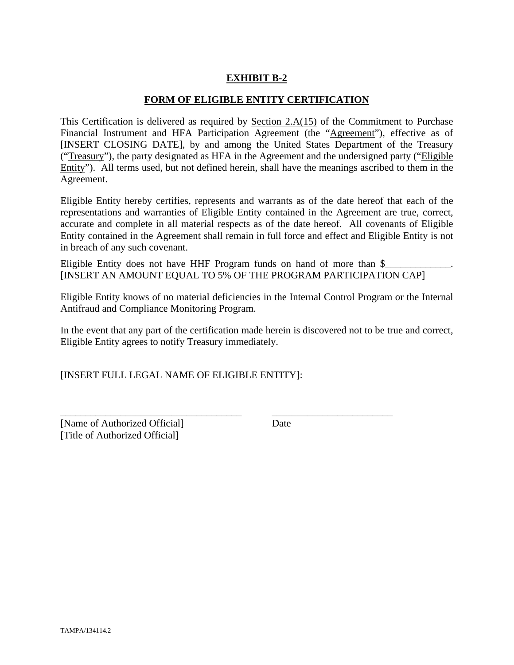### **EXHIBIT B-2**

#### **FORM OF ELIGIBLE ENTITY CERTIFICATION**

This Certification is delivered as required by Section 2.A(15) of the Commitment to Purchase Financial Instrument and HFA Participation Agreement (the "Agreement"), effective as of [INSERT CLOSING DATE], by and among the United States Department of the Treasury ("Treasury"), the party designated as HFA in the Agreement and the undersigned party ("Eligible Entity"). All terms used, but not defined herein, shall have the meanings ascribed to them in the Agreement.

Eligible Entity hereby certifies, represents and warrants as of the date hereof that each of the representations and warranties of Eligible Entity contained in the Agreement are true, correct, accurate and complete in all material respects as of the date hereof. All covenants of Eligible Entity contained in the Agreement shall remain in full force and effect and Eligible Entity is not in breach of any such covenant.

Eligible Entity does not have HHF Program funds on hand of more than  $\$ [INSERT AN AMOUNT EQUAL TO 5% OF THE PROGRAM PARTICIPATION CAP]

Eligible Entity knows of no material deficiencies in the Internal Control Program or the Internal Antifraud and Compliance Monitoring Program.

In the event that any part of the certification made herein is discovered not to be true and correct, Eligible Entity agrees to notify Treasury immediately.

\_\_\_\_\_\_\_\_\_\_\_\_\_\_\_\_\_\_\_\_\_\_\_\_\_\_\_\_\_\_\_\_\_\_\_\_ \_\_\_\_\_\_\_\_\_\_\_\_\_\_\_\_\_\_\_\_\_\_\_\_

[INSERT FULL LEGAL NAME OF ELIGIBLE ENTITY]:

[Name of Authorized Official] Date [Title of Authorized Official]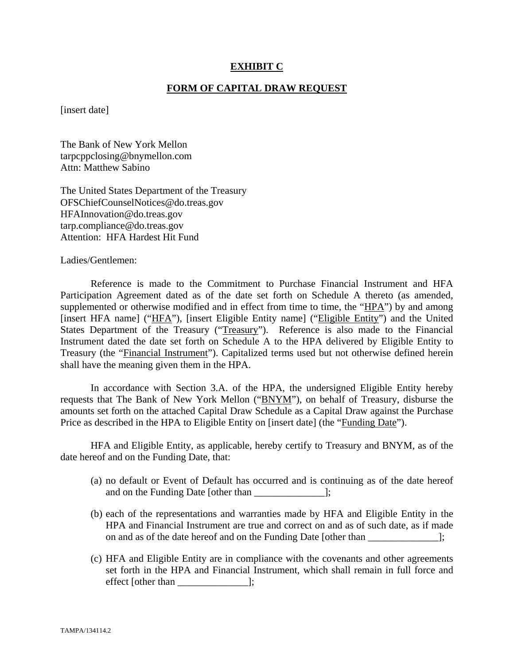#### **EXHIBIT C**

#### **FORM OF CAPITAL DRAW REQUEST**

[insert date]

The Bank of New York Mellon tarpcppclosing@bnymellon.com Attn: Matthew Sabino

The United States Department of the Treasury OFSChiefCounselNotices@do.treas.gov HFAInnovation@do.treas.gov tarp.compliance@do.treas.gov Attention: HFA Hardest Hit Fund

Ladies/Gentlemen:

 Reference is made to the Commitment to Purchase Financial Instrument and HFA Participation Agreement dated as of the date set forth on Schedule A thereto (as amended, supplemented or otherwise modified and in effect from time to time, the "HPA") by and among [insert HFA name] ("HFA"), [insert Eligible Entity name] ("Eligible Entity") and the United States Department of the Treasury ("Treasury"). Reference is also made to the Financial Instrument dated the date set forth on Schedule A to the HPA delivered by Eligible Entity to Treasury (the "Financial Instrument"). Capitalized terms used but not otherwise defined herein shall have the meaning given them in the HPA.

 In accordance with Section 3.A. of the HPA, the undersigned Eligible Entity hereby requests that The Bank of New York Mellon ("BNYM"), on behalf of Treasury, disburse the amounts set forth on the attached Capital Draw Schedule as a Capital Draw against the Purchase Price as described in the HPA to Eligible Entity on [insert date] (the "Funding Date").

 HFA and Eligible Entity, as applicable, hereby certify to Treasury and BNYM, as of the date hereof and on the Funding Date, that:

- (a) no default or Event of Default has occurred and is continuing as of the date hereof and on the Funding Date [other than  $\Box$ ];
- (b) each of the representations and warranties made by HFA and Eligible Entity in the HPA and Financial Instrument are true and correct on and as of such date, as if made on and as of the date hereof and on the Funding Date [other than ];
- (c) HFA and Eligible Entity are in compliance with the covenants and other agreements set forth in the HPA and Financial Instrument, which shall remain in full force and effect [other than \_\_\_\_\_\_\_\_\_\_\_\_\_\_];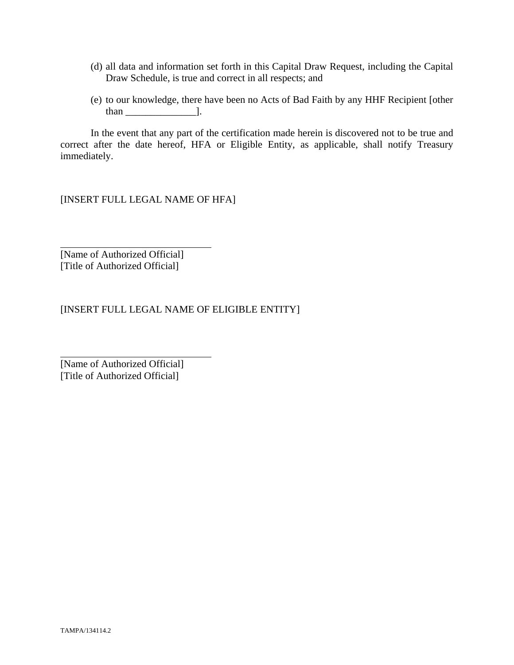- (d) all data and information set forth in this Capital Draw Request, including the Capital Draw Schedule, is true and correct in all respects; and
- (e) to our knowledge, there have been no Acts of Bad Faith by any HHF Recipient [other than  $\qquad$  ].

 In the event that any part of the certification made herein is discovered not to be true and correct after the date hereof, HFA or Eligible Entity, as applicable, shall notify Treasury immediately.

[INSERT FULL LEGAL NAME OF HFA]

[Name of Authorized Official] [Title of Authorized Official]

 $\overline{a}$ 

l

[INSERT FULL LEGAL NAME OF ELIGIBLE ENTITY]

[Name of Authorized Official] [Title of Authorized Official]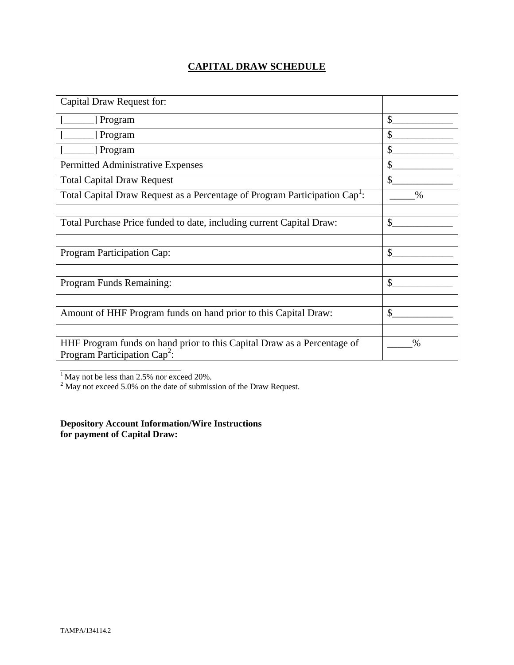# **CAPITAL DRAW SCHEDULE**

| Capital Draw Request for:                                                                                  |              |
|------------------------------------------------------------------------------------------------------------|--------------|
| Program                                                                                                    | \$           |
| Program                                                                                                    | \$           |
| Program                                                                                                    | \$           |
| Permitted Administrative Expenses                                                                          | \$           |
| <b>Total Capital Draw Request</b>                                                                          | $\mathbb{S}$ |
| Total Capital Draw Request as a Percentage of Program Participation Cap <sup>1</sup> :                     | $\%$         |
|                                                                                                            |              |
| Total Purchase Price funded to date, including current Capital Draw:                                       | \$           |
|                                                                                                            |              |
| Program Participation Cap:                                                                                 | \$           |
|                                                                                                            |              |
| Program Funds Remaining:                                                                                   | \$           |
|                                                                                                            |              |
| Amount of HHF Program funds on hand prior to this Capital Draw:                                            | \$           |
|                                                                                                            |              |
| HHF Program funds on hand prior to this Capital Draw as a Percentage of<br>Program Participation $Cap^2$ : | $\%$         |
|                                                                                                            |              |

<sup>1</sup> May not be less than 2.5% nor exceed 20%.<br><sup>2</sup> May not exceed 5.0% on the date of submission of the Draw Request.

**Depository Account Information/Wire Instructions for payment of Capital Draw:**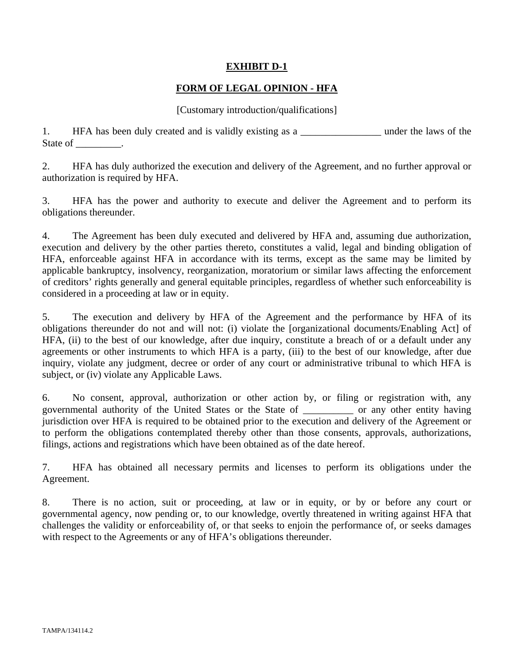### **EXHIBIT D-1**

### **FORM OF LEGAL OPINION - HFA**

#### [Customary introduction/qualifications]

1. HFA has been duly created and is validly existing as a \_\_\_\_\_\_\_\_\_\_\_\_\_\_\_\_\_\_\_\_ under the laws of the State of \_\_\_\_\_\_\_\_\_.

2. HFA has duly authorized the execution and delivery of the Agreement, and no further approval or authorization is required by HFA.

3. HFA has the power and authority to execute and deliver the Agreement and to perform its obligations thereunder.

4. The Agreement has been duly executed and delivered by HFA and, assuming due authorization, execution and delivery by the other parties thereto, constitutes a valid, legal and binding obligation of HFA, enforceable against HFA in accordance with its terms, except as the same may be limited by applicable bankruptcy, insolvency, reorganization, moratorium or similar laws affecting the enforcement of creditors' rights generally and general equitable principles, regardless of whether such enforceability is considered in a proceeding at law or in equity.

5. The execution and delivery by HFA of the Agreement and the performance by HFA of its obligations thereunder do not and will not: (i) violate the [organizational documents/Enabling Act] of HFA, (ii) to the best of our knowledge, after due inquiry, constitute a breach of or a default under any agreements or other instruments to which HFA is a party, (iii) to the best of our knowledge, after due inquiry, violate any judgment, decree or order of any court or administrative tribunal to which HFA is subject, or (iv) violate any Applicable Laws.

6. No consent, approval, authorization or other action by, or filing or registration with, any governmental authority of the United States or the State of \_\_\_\_\_\_\_\_\_\_ or any other entity having jurisdiction over HFA is required to be obtained prior to the execution and delivery of the Agreement or to perform the obligations contemplated thereby other than those consents, approvals, authorizations, filings, actions and registrations which have been obtained as of the date hereof.

7. HFA has obtained all necessary permits and licenses to perform its obligations under the Agreement.

8. There is no action, suit or proceeding, at law or in equity, or by or before any court or governmental agency, now pending or, to our knowledge, overtly threatened in writing against HFA that challenges the validity or enforceability of, or that seeks to enjoin the performance of, or seeks damages with respect to the Agreements or any of HFA's obligations thereunder.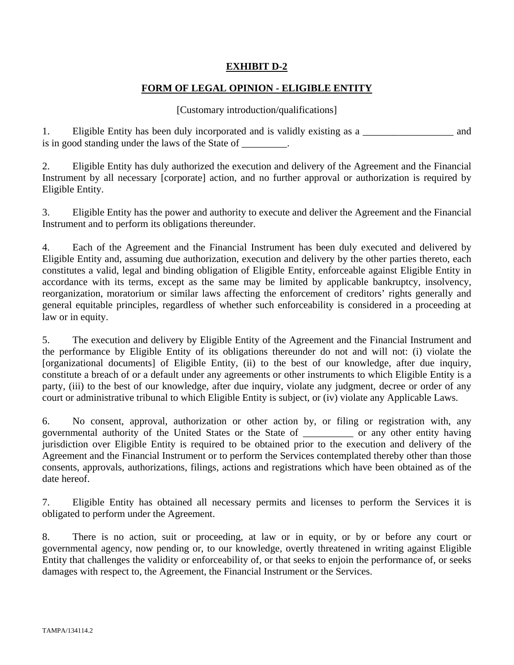### **EXHIBIT D-2**

### **FORM OF LEGAL OPINION - ELIGIBLE ENTITY**

#### [Customary introduction/qualifications]

1. Eligible Entity has been duly incorporated and is validly existing as a \_\_\_\_\_\_\_\_\_\_\_\_\_\_\_\_\_\_ and is in good standing under the laws of the State of \_\_\_\_\_\_\_\_.

2. Eligible Entity has duly authorized the execution and delivery of the Agreement and the Financial Instrument by all necessary [corporate] action, and no further approval or authorization is required by Eligible Entity.

3. Eligible Entity has the power and authority to execute and deliver the Agreement and the Financial Instrument and to perform its obligations thereunder.

4. Each of the Agreement and the Financial Instrument has been duly executed and delivered by Eligible Entity and, assuming due authorization, execution and delivery by the other parties thereto, each constitutes a valid, legal and binding obligation of Eligible Entity, enforceable against Eligible Entity in accordance with its terms, except as the same may be limited by applicable bankruptcy, insolvency, reorganization, moratorium or similar laws affecting the enforcement of creditors' rights generally and general equitable principles, regardless of whether such enforceability is considered in a proceeding at law or in equity.

5. The execution and delivery by Eligible Entity of the Agreement and the Financial Instrument and the performance by Eligible Entity of its obligations thereunder do not and will not: (i) violate the [organizational documents] of Eligible Entity, (ii) to the best of our knowledge, after due inquiry, constitute a breach of or a default under any agreements or other instruments to which Eligible Entity is a party, (iii) to the best of our knowledge, after due inquiry, violate any judgment, decree or order of any court or administrative tribunal to which Eligible Entity is subject, or (iv) violate any Applicable Laws.

6. No consent, approval, authorization or other action by, or filing or registration with, any governmental authority of the United States or the State of \_\_\_\_\_\_\_\_\_\_ or any other entity having jurisdiction over Eligible Entity is required to be obtained prior to the execution and delivery of the Agreement and the Financial Instrument or to perform the Services contemplated thereby other than those consents, approvals, authorizations, filings, actions and registrations which have been obtained as of the date hereof.

7. Eligible Entity has obtained all necessary permits and licenses to perform the Services it is obligated to perform under the Agreement.

8. There is no action, suit or proceeding, at law or in equity, or by or before any court or governmental agency, now pending or, to our knowledge, overtly threatened in writing against Eligible Entity that challenges the validity or enforceability of, or that seeks to enjoin the performance of, or seeks damages with respect to, the Agreement, the Financial Instrument or the Services.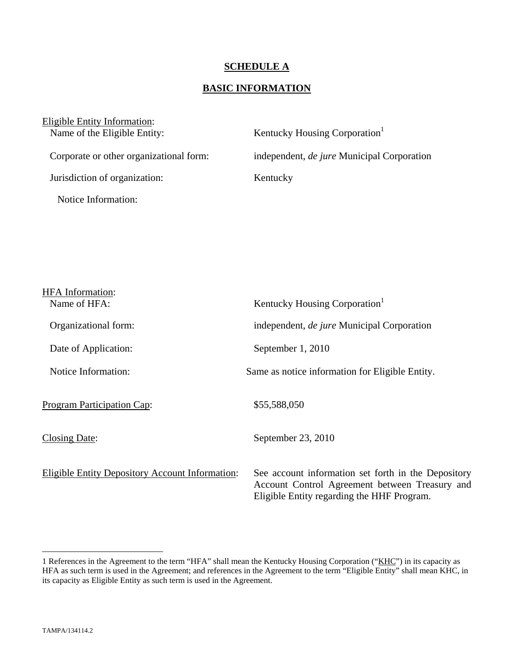#### **SCHEDULE A**

### **BASIC INFORMATION**

| Eligible Entity Information:<br>Name of the Eligible Entity: | Kentucky Housing Corporation <sup>1</sup>         |
|--------------------------------------------------------------|---------------------------------------------------|
| Corporate or other organizational form:                      | independent, <i>de jure</i> Municipal Corporation |
| Jurisdiction of organization:                                | Kentucky                                          |
| Notice Information:                                          |                                                   |

| <b>HFA</b> Information:                         |                                                                                                                                                     |
|-------------------------------------------------|-----------------------------------------------------------------------------------------------------------------------------------------------------|
| Name of HFA:                                    | Kentucky Housing Corporation <sup>1</sup>                                                                                                           |
| Organizational form:                            | independent, <i>de jure</i> Municipal Corporation                                                                                                   |
| Date of Application:                            | September 1, 2010                                                                                                                                   |
| Notice Information:                             | Same as notice information for Eligible Entity.                                                                                                     |
| <b>Program Participation Cap:</b>               | \$55,588,050                                                                                                                                        |
| <b>Closing Date:</b>                            | September 23, 2010                                                                                                                                  |
| Eligible Entity Depository Account Information: | See account information set forth in the Depository<br>Account Control Agreement between Treasury and<br>Eligible Entity regarding the HHF Program. |

 $\overline{a}$ 

<sup>1</sup> References in the Agreement to the term "HFA" shall mean the Kentucky Housing Corporation ("KHC") in its capacity as HFA as such term is used in the Agreement; and references in the Agreement to the term "Eligible Entity" shall mean KHC, in its capacity as Eligible Entity as such term is used in the Agreement.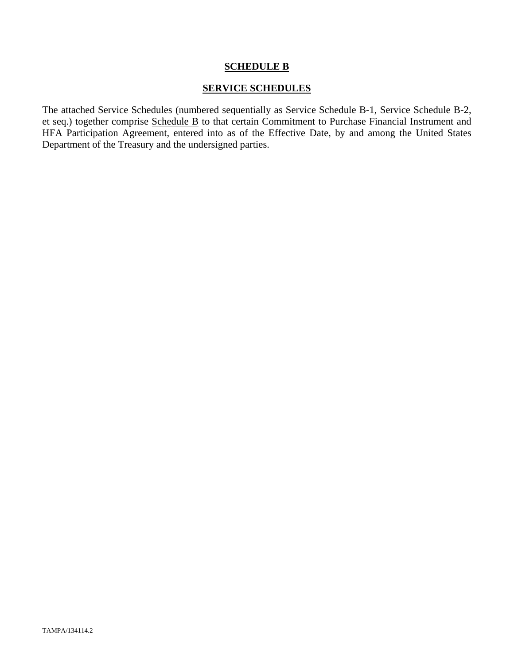#### **SCHEDULE B**

#### **SERVICE SCHEDULES**

The attached Service Schedules (numbered sequentially as Service Schedule B-1, Service Schedule B-2, et seq.) together comprise Schedule B to that certain Commitment to Purchase Financial Instrument and HFA Participation Agreement, entered into as of the Effective Date, by and among the United States Department of the Treasury and the undersigned parties.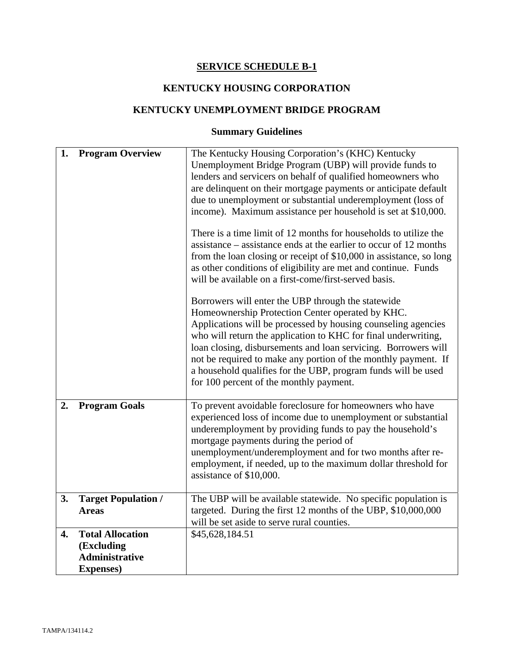# **SERVICE SCHEDULE B-1**

# **KENTUCKY HOUSING CORPORATION**

## **KENTUCKY UNEMPLOYMENT BRIDGE PROGRAM**

# **Summary Guidelines**

| 1. | <b>Program Overview</b>                                                             | The Kentucky Housing Corporation's (KHC) Kentucky<br>Unemployment Bridge Program (UBP) will provide funds to<br>lenders and servicers on behalf of qualified homeowners who<br>are delinquent on their mortgage payments or anticipate default<br>due to unemployment or substantial underemployment (loss of<br>income). Maximum assistance per household is set at \$10,000.<br>There is a time limit of 12 months for households to utilize the<br>assistance – assistance ends at the earlier to occur of 12 months<br>from the loan closing or receipt of \$10,000 in assistance, so long<br>as other conditions of eligibility are met and continue. Funds<br>will be available on a first-come/first-served basis.<br>Borrowers will enter the UBP through the statewide<br>Homeownership Protection Center operated by KHC.<br>Applications will be processed by housing counseling agencies<br>who will return the application to KHC for final underwriting,<br>loan closing, disbursements and loan servicing. Borrowers will<br>not be required to make any portion of the monthly payment. If<br>a household qualifies for the UBP, program funds will be used<br>for 100 percent of the monthly payment. |
|----|-------------------------------------------------------------------------------------|------------------------------------------------------------------------------------------------------------------------------------------------------------------------------------------------------------------------------------------------------------------------------------------------------------------------------------------------------------------------------------------------------------------------------------------------------------------------------------------------------------------------------------------------------------------------------------------------------------------------------------------------------------------------------------------------------------------------------------------------------------------------------------------------------------------------------------------------------------------------------------------------------------------------------------------------------------------------------------------------------------------------------------------------------------------------------------------------------------------------------------------------------------------------------------------------------------------------|
| 2. | <b>Program Goals</b>                                                                | To prevent avoidable foreclosure for homeowners who have<br>experienced loss of income due to unemployment or substantial<br>underemployment by providing funds to pay the household's<br>mortgage payments during the period of<br>unemployment/underemployment and for two months after re-<br>employment, if needed, up to the maximum dollar threshold for<br>assistance of \$10,000.                                                                                                                                                                                                                                                                                                                                                                                                                                                                                                                                                                                                                                                                                                                                                                                                                              |
| 3. | <b>Target Population /</b><br><b>Areas</b>                                          | The UBP will be available statewide. No specific population is<br>targeted. During the first 12 months of the UBP, \$10,000,000<br>will be set aside to serve rural counties.                                                                                                                                                                                                                                                                                                                                                                                                                                                                                                                                                                                                                                                                                                                                                                                                                                                                                                                                                                                                                                          |
| 4. | <b>Total Allocation</b><br>(Excluding<br><b>Administrative</b><br><b>Expenses</b> ) | \$45,628,184.51                                                                                                                                                                                                                                                                                                                                                                                                                                                                                                                                                                                                                                                                                                                                                                                                                                                                                                                                                                                                                                                                                                                                                                                                        |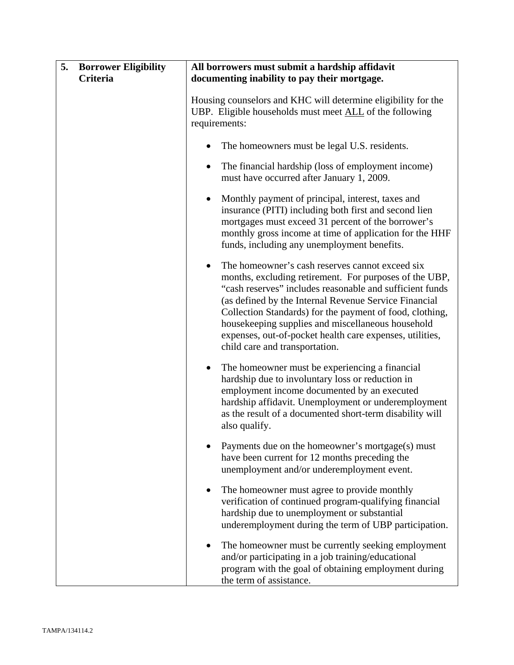| 5.<br><b>Borrower Eligibility</b><br>Criteria | All borrowers must submit a hardship affidavit<br>documenting inability to pay their mortgage.                                                                                                                                                                                                                                                                                                                                                             |
|-----------------------------------------------|------------------------------------------------------------------------------------------------------------------------------------------------------------------------------------------------------------------------------------------------------------------------------------------------------------------------------------------------------------------------------------------------------------------------------------------------------------|
|                                               | Housing counselors and KHC will determine eligibility for the<br>UBP. Eligible households must meet ALL of the following<br>requirements:                                                                                                                                                                                                                                                                                                                  |
|                                               | The homeowners must be legal U.S. residents.                                                                                                                                                                                                                                                                                                                                                                                                               |
|                                               | The financial hardship (loss of employment income)<br>٠<br>must have occurred after January 1, 2009.                                                                                                                                                                                                                                                                                                                                                       |
|                                               | Monthly payment of principal, interest, taxes and<br>$\bullet$<br>insurance (PITI) including both first and second lien<br>mortgages must exceed 31 percent of the borrower's<br>monthly gross income at time of application for the HHF<br>funds, including any unemployment benefits.                                                                                                                                                                    |
|                                               | The homeowner's cash reserves cannot exceed six<br>$\bullet$<br>months, excluding retirement. For purposes of the UBP,<br>"cash reserves" includes reasonable and sufficient funds<br>(as defined by the Internal Revenue Service Financial<br>Collection Standards) for the payment of food, clothing,<br>housekeeping supplies and miscellaneous household<br>expenses, out-of-pocket health care expenses, utilities,<br>child care and transportation. |
|                                               | The homeowner must be experiencing a financial<br>$\bullet$<br>hardship due to involuntary loss or reduction in<br>employment income documented by an executed<br>hardship affidavit. Unemployment or underemployment<br>as the result of a documented short-term disability will<br>also qualify.                                                                                                                                                         |
|                                               | Payments due on the homeowner's mortgage(s) must<br>have been current for 12 months preceding the<br>unemployment and/or underemployment event.                                                                                                                                                                                                                                                                                                            |
|                                               | The homeowner must agree to provide monthly<br>٠<br>verification of continued program-qualifying financial<br>hardship due to unemployment or substantial<br>underemployment during the term of UBP participation.                                                                                                                                                                                                                                         |
|                                               | The homeowner must be currently seeking employment<br>$\bullet$<br>and/or participating in a job training/educational<br>program with the goal of obtaining employment during<br>the term of assistance.                                                                                                                                                                                                                                                   |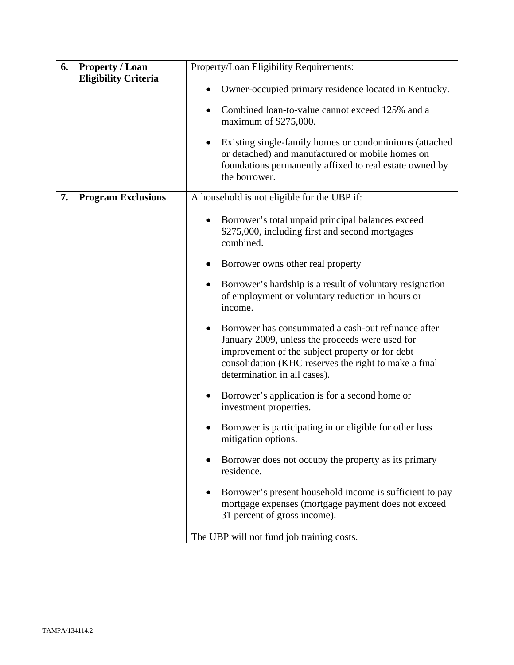| 6. | <b>Property / Loan</b>      | Property/Loan Eligibility Requirements:                                                                                                                                                                                                                         |
|----|-----------------------------|-----------------------------------------------------------------------------------------------------------------------------------------------------------------------------------------------------------------------------------------------------------------|
|    | <b>Eligibility Criteria</b> | Owner-occupied primary residence located in Kentucky.<br>$\bullet$                                                                                                                                                                                              |
|    |                             | Combined loan-to-value cannot exceed 125% and a<br>٠<br>maximum of \$275,000.                                                                                                                                                                                   |
|    |                             | Existing single-family homes or condominiums (attached<br>$\bullet$<br>or detached) and manufactured or mobile homes on<br>foundations permanently affixed to real estate owned by<br>the borrower.                                                             |
| 7. | <b>Program Exclusions</b>   | A household is not eligible for the UBP if:                                                                                                                                                                                                                     |
|    |                             | Borrower's total unpaid principal balances exceed<br>$\bullet$<br>\$275,000, including first and second mortgages<br>combined.                                                                                                                                  |
|    |                             | Borrower owns other real property<br>$\bullet$                                                                                                                                                                                                                  |
|    |                             | Borrower's hardship is a result of voluntary resignation<br>$\bullet$<br>of employment or voluntary reduction in hours or<br>income.                                                                                                                            |
|    |                             | Borrower has consummated a cash-out refinance after<br>$\bullet$<br>January 2009, unless the proceeds were used for<br>improvement of the subject property or for debt<br>consolidation (KHC reserves the right to make a final<br>determination in all cases). |
|    |                             | Borrower's application is for a second home or<br>$\bullet$<br>investment properties.                                                                                                                                                                           |
|    |                             | Borrower is participating in or eligible for other loss<br>mitigation options.                                                                                                                                                                                  |
|    |                             | Borrower does not occupy the property as its primary<br>residence.                                                                                                                                                                                              |
|    |                             | Borrower's present household income is sufficient to pay<br>mortgage expenses (mortgage payment does not exceed<br>31 percent of gross income).                                                                                                                 |
|    |                             | The UBP will not fund job training costs.                                                                                                                                                                                                                       |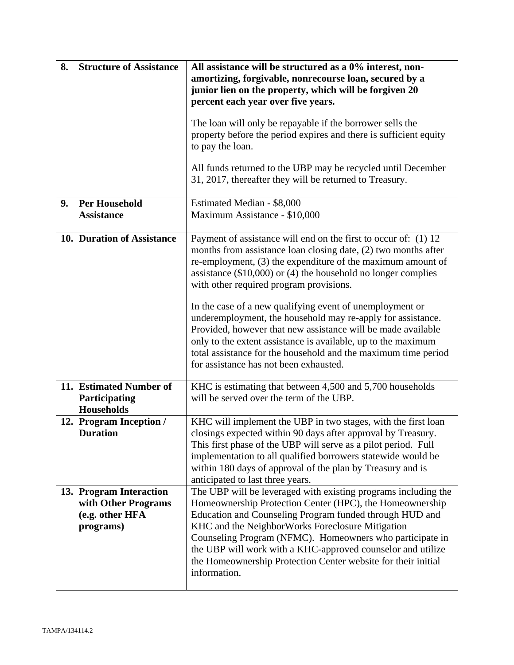| 8.<br><b>Structure of Assistance</b> |                                                                                                          | All assistance will be structured as a 0% interest, non-<br>amortizing, forgivable, nonrecourse loan, secured by a<br>junior lien on the property, which will be forgiven 20                                                                                                                                                                                                                                                                          |  |
|--------------------------------------|----------------------------------------------------------------------------------------------------------|-------------------------------------------------------------------------------------------------------------------------------------------------------------------------------------------------------------------------------------------------------------------------------------------------------------------------------------------------------------------------------------------------------------------------------------------------------|--|
|                                      |                                                                                                          | percent each year over five years.                                                                                                                                                                                                                                                                                                                                                                                                                    |  |
|                                      |                                                                                                          | The loan will only be repayable if the borrower sells the<br>property before the period expires and there is sufficient equity<br>to pay the loan.                                                                                                                                                                                                                                                                                                    |  |
|                                      |                                                                                                          | All funds returned to the UBP may be recycled until December<br>31, 2017, thereafter they will be returned to Treasury.                                                                                                                                                                                                                                                                                                                               |  |
| 9.                                   | <b>Per Household</b><br>Estimated Median - \$8,000<br><b>Assistance</b><br>Maximum Assistance - \$10,000 |                                                                                                                                                                                                                                                                                                                                                                                                                                                       |  |
|                                      | 10. Duration of Assistance                                                                               | Payment of assistance will end on the first to occur of: (1) 12<br>months from assistance loan closing date, (2) two months after<br>re-employment, (3) the expenditure of the maximum amount of<br>assistance $(\$10,000)$ or $(4)$ the household no longer complies<br>with other required program provisions.                                                                                                                                      |  |
|                                      |                                                                                                          | In the case of a new qualifying event of unemployment or<br>underemployment, the household may re-apply for assistance.<br>Provided, however that new assistance will be made available<br>only to the extent assistance is available, up to the maximum<br>total assistance for the household and the maximum time period<br>for assistance has not been exhausted.                                                                                  |  |
|                                      | 11. Estimated Number of<br>Participating<br><b>Households</b>                                            | KHC is estimating that between 4,500 and 5,700 households<br>will be served over the term of the UBP.                                                                                                                                                                                                                                                                                                                                                 |  |
|                                      | 12. Program Inception /<br><b>Duration</b>                                                               | KHC will implement the UBP in two stages, with the first loan<br>closings expected within 90 days after approval by Treasury.<br>This first phase of the UBP will serve as a pilot period. Full<br>implementation to all qualified borrowers statewide would be<br>within 180 days of approval of the plan by Treasury and is<br>anticipated to last three years.                                                                                     |  |
|                                      | 13. Program Interaction<br>with Other Programs<br>(e.g. other HFA<br>programs)                           | The UBP will be leveraged with existing programs including the<br>Homeownership Protection Center (HPC), the Homeownership<br>Education and Counseling Program funded through HUD and<br>KHC and the NeighborWorks Foreclosure Mitigation<br>Counseling Program (NFMC). Homeowners who participate in<br>the UBP will work with a KHC-approved counselor and utilize<br>the Homeownership Protection Center website for their initial<br>information. |  |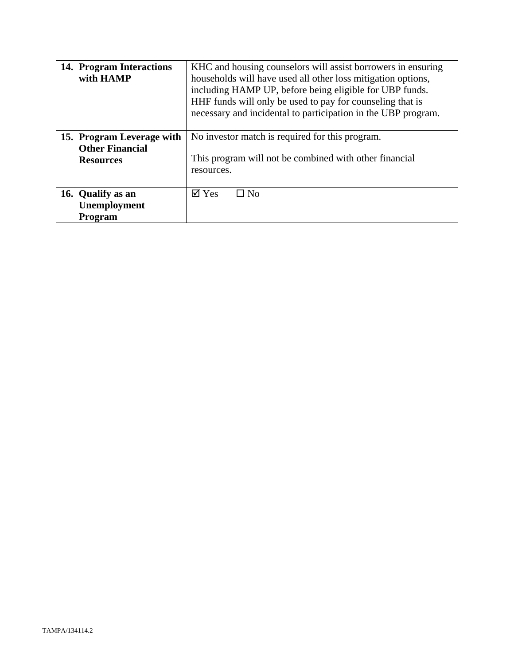| 14. Program Interactions<br>with HAMP                                   | KHC and housing counselors will assist borrowers in ensuring<br>households will have used all other loss mitigation options,<br>including HAMP UP, before being eligible for UBP funds.<br>HHF funds will only be used to pay for counseling that is<br>necessary and incidental to participation in the UBP program. |  |
|-------------------------------------------------------------------------|-----------------------------------------------------------------------------------------------------------------------------------------------------------------------------------------------------------------------------------------------------------------------------------------------------------------------|--|
| 15. Program Leverage with<br><b>Other Financial</b><br><b>Resources</b> | No investor match is required for this program.<br>This program will not be combined with other financial<br>resources.                                                                                                                                                                                               |  |
| 16. Qualify as an<br>Unemployment<br><b>Program</b>                     | $\boxtimes$ Yes<br>$\square$ No                                                                                                                                                                                                                                                                                       |  |